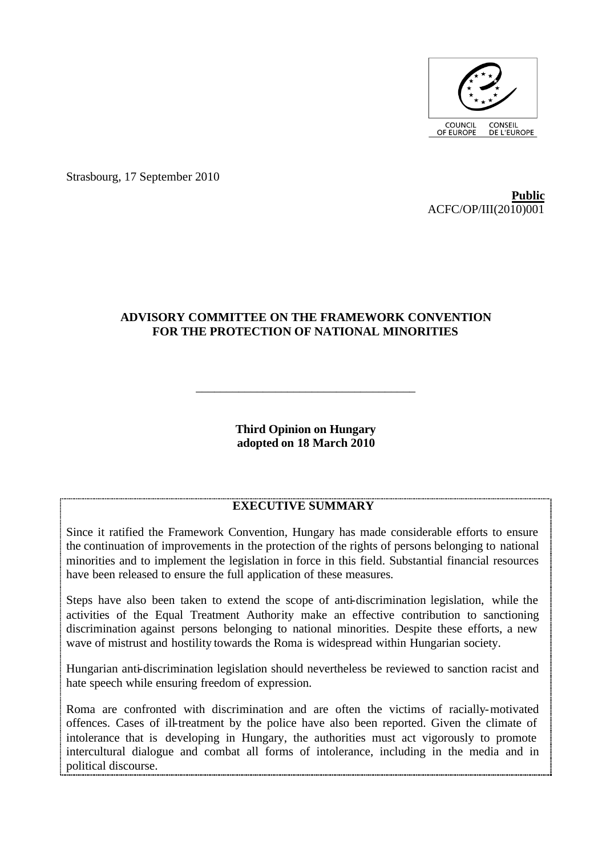

Strasbourg, 17 September 2010

**Public** ACFC/OP/III(2010)001

# **ADVISORY COMMITTEE ON THE FRAMEWORK CONVENTION FOR THE PROTECTION OF NATIONAL MINORITIES**

**Third Opinion on Hungary adopted on 18 March 2010**

\_\_\_\_\_\_\_\_\_\_\_\_\_\_\_\_\_\_\_\_\_\_\_\_\_\_\_\_\_\_\_\_\_\_\_\_

## **EXECUTIVE SUMMARY**

Since it ratified the Framework Convention, Hungary has made considerable efforts to ensure the continuation of improvements in the protection of the rights of persons belonging to national minorities and to implement the legislation in force in this field. Substantial financial resources have been released to ensure the full application of these measures.

Steps have also been taken to extend the scope of anti-discrimination legislation, while the activities of the Equal Treatment Authority make an effective contribution to sanctioning discrimination against persons belonging to national minorities. Despite these efforts, a new wave of mistrust and hostility towards the Roma is widespread within Hungarian society.

Hungarian anti-discrimination legislation should nevertheless be reviewed to sanction racist and hate speech while ensuring freedom of expression.

Roma are confronted with discrimination and are often the victims of racially-motivated offences. Cases of ill-treatment by the police have also been reported. Given the climate of intolerance that is developing in Hungary, the authorities must act vigorously to promote intercultural dialogue and combat all forms of intolerance, including in the media and in political discourse.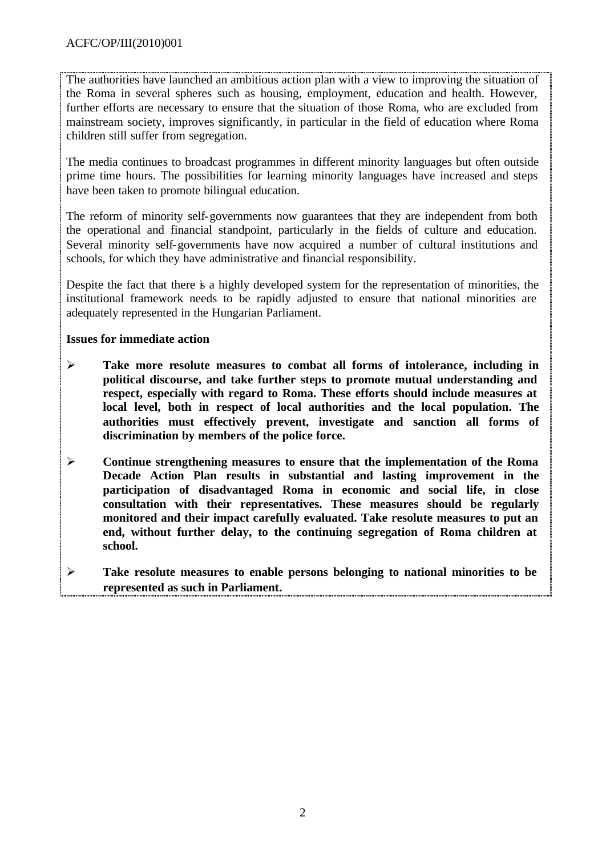The authorities have launched an ambitious action plan with a view to improving the situation of the Roma in several spheres such as housing, employment, education and health. However, further efforts are necessary to ensure that the situation of those Roma, who are excluded from mainstream society, improves significantly, in particular in the field of education where Roma children still suffer from segregation.

The media continues to broadcast programmes in different minority languages but often outside prime time hours. The possibilities for learning minority languages have increased and steps have been taken to promote bilingual education.

The reform of minority self-governments now guarantees that they are independent from both the operational and financial standpoint, particularly in the fields of culture and education. Several minority self-governments have now acquired a number of cultural institutions and schools, for which they have administrative and financial responsibility.

Despite the fact that there is a highly developed system for the representation of minorities, the institutional framework needs to be rapidly adjusted to ensure that national minorities are adequately represented in the Hungarian Parliament.

## **Issues for immediate action**

- ÿ **Take more resolute measures to combat all forms of intolerance, including in political discourse, and take further steps to promote mutual understanding and respect, especially with regard to Roma. These efforts should include measures at local level, both in respect of local authorities and the local population. The authorities must effectively prevent, investigate and sanction all forms of discrimination by members of the police force.**
- ÿ **Continue strengthening measures to ensure that the implementation of the Roma Decade Action Plan results in substantial and lasting improvement in the participation of disadvantaged Roma in economic and social life, in close consultation with their representatives. These measures should be regularly monitored and their impact carefully evaluated. Take resolute measures to put an end, without further delay, to the continuing segregation of Roma children at school.**
- ÿ **Take resolute measures to enable persons belonging to national minorities to be represented as such in Parliament.**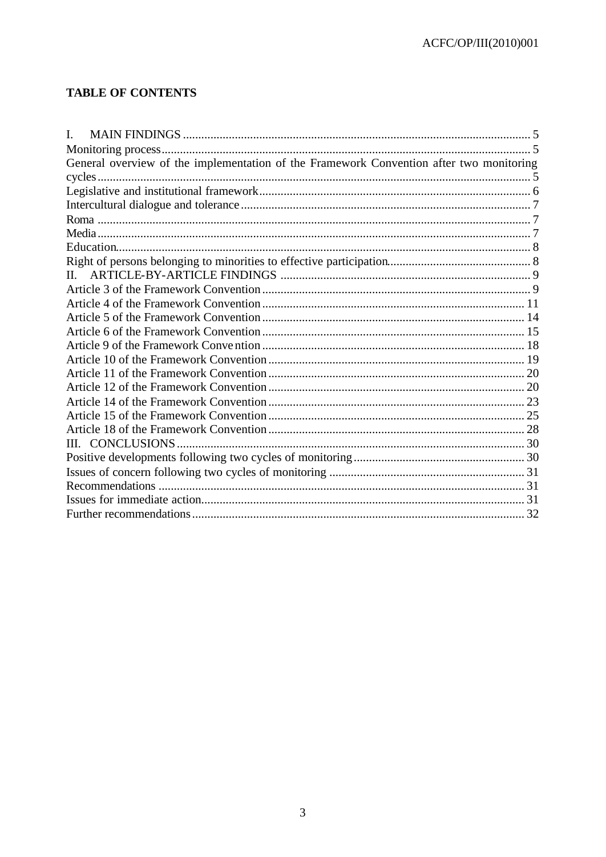# **TABLE OF CONTENTS**

| L.                                                                                      |  |
|-----------------------------------------------------------------------------------------|--|
|                                                                                         |  |
| General overview of the implementation of the Framework Convention after two monitoring |  |
|                                                                                         |  |
|                                                                                         |  |
|                                                                                         |  |
|                                                                                         |  |
|                                                                                         |  |
|                                                                                         |  |
|                                                                                         |  |
|                                                                                         |  |
|                                                                                         |  |
|                                                                                         |  |
|                                                                                         |  |
|                                                                                         |  |
|                                                                                         |  |
|                                                                                         |  |
|                                                                                         |  |
|                                                                                         |  |
|                                                                                         |  |
|                                                                                         |  |
|                                                                                         |  |
|                                                                                         |  |
|                                                                                         |  |
|                                                                                         |  |
|                                                                                         |  |
|                                                                                         |  |
|                                                                                         |  |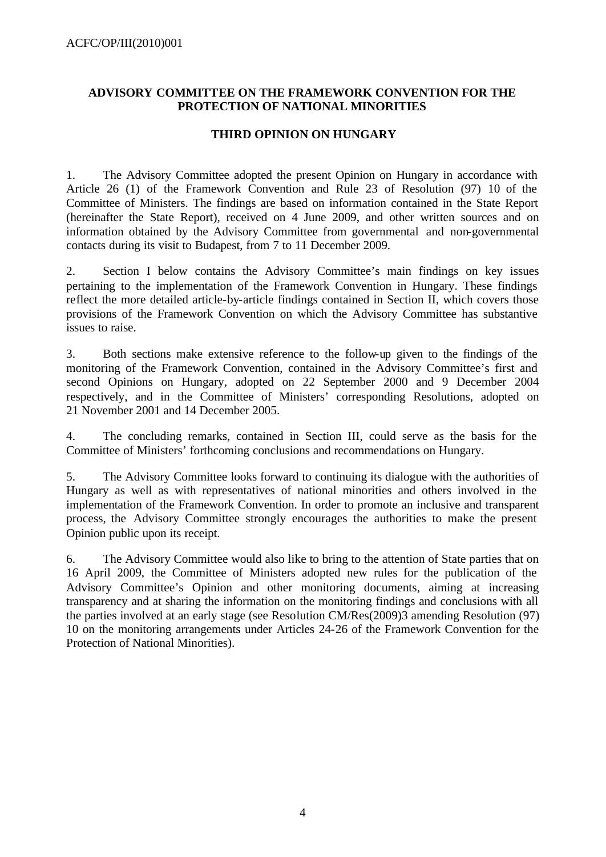## **ADVISORY COMMITTEE ON THE FRAMEWORK CONVENTION FOR THE PROTECTION OF NATIONAL MINORITIES**

## **THIRD OPINION ON HUNGARY**

1. The Advisory Committee adopted the present Opinion on Hungary in accordance with Article 26 (1) of the Framework Convention and Rule 23 of Resolution (97) 10 of the Committee of Ministers. The findings are based on information contained in the State Report (hereinafter the State Report), received on 4 June 2009, and other written sources and on information obtained by the Advisory Committee from governmental and non-governmental contacts during its visit to Budapest, from 7 to 11 December 2009.

2. Section I below contains the Advisory Committee's main findings on key issues pertaining to the implementation of the Framework Convention in Hungary. These findings reflect the more detailed article-by-article findings contained in Section II, which covers those provisions of the Framework Convention on which the Advisory Committee has substantive issues to raise.

3. Both sections make extensive reference to the follow-up given to the findings of the monitoring of the Framework Convention, contained in the Advisory Committee's first and second Opinions on Hungary, adopted on 22 September 2000 and 9 December 2004 respectively, and in the Committee of Ministers' corresponding Resolutions, adopted on 21 November 2001 and 14 December 2005.

4. The concluding remarks, contained in Section III, could serve as the basis for the Committee of Ministers' forthcoming conclusions and recommendations on Hungary.

5. The Advisory Committee looks forward to continuing its dialogue with the authorities of Hungary as well as with representatives of national minorities and others involved in the implementation of the Framework Convention. In order to promote an inclusive and transparent process, the Advisory Committee strongly encourages the authorities to make the present Opinion public upon its receipt.

6. The Advisory Committee would also like to bring to the attention of State parties that on 16 April 2009, the Committee of Ministers adopted new rules for the publication of the Advisory Committee's Opinion and other monitoring documents, aiming at increasing transparency and at sharing the information on the monitoring findings and conclusions with all the parties involved at an early stage (see Resolution CM/Res(2009)3 amending Resolution (97) 10 on the monitoring arrangements under Articles 24-26 of the Framework Convention for the Protection of National Minorities).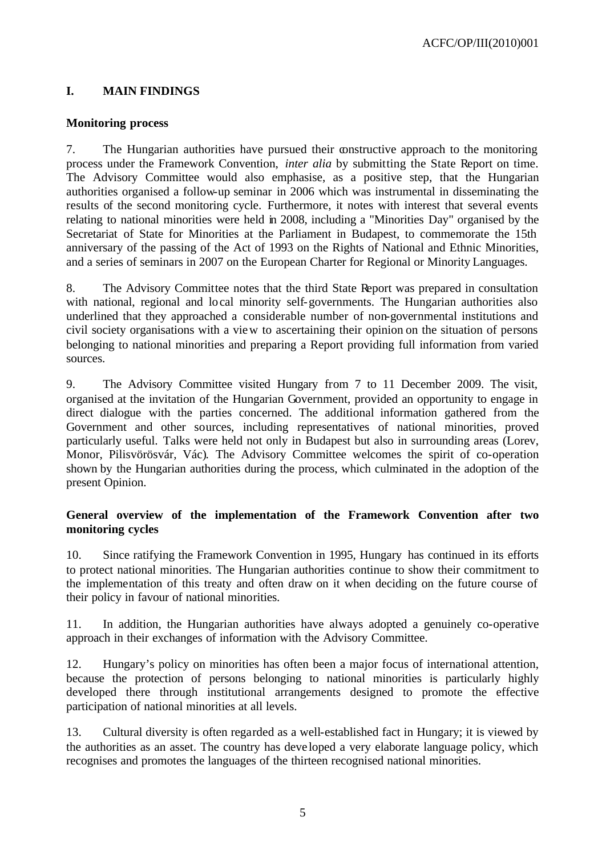# **I. MAIN FINDINGS**

## **Monitoring process**

7. The Hungarian authorities have pursued their constructive approach to the monitoring process under the Framework Convention, *inter alia* by submitting the State Report on time. The Advisory Committee would also emphasise, as a positive step, that the Hungarian authorities organised a follow-up seminar in 2006 which was instrumental in disseminating the results of the second monitoring cycle. Furthermore, it notes with interest that several events relating to national minorities were held in 2008, including a "Minorities Day" organised by the Secretariat of State for Minorities at the Parliament in Budapest, to commemorate the 15th anniversary of the passing of the Act of 1993 on the Rights of National and Ethnic Minorities, and a series of seminars in 2007 on the European Charter for Regional or Minority Languages.

8. The Advisory Committee notes that the third State Report was prepared in consultation with national, regional and local minority self-governments. The Hungarian authorities also underlined that they approached a considerable number of non-governmental institutions and civil society organisations with a view to ascertaining their opinion on the situation of persons belonging to national minorities and preparing a Report providing full information from varied sources.

9. The Advisory Committee visited Hungary from 7 to 11 December 2009. The visit, organised at the invitation of the Hungarian Government, provided an opportunity to engage in direct dialogue with the parties concerned. The additional information gathered from the Government and other sources, including representatives of national minorities, proved particularly useful. Talks were held not only in Budapest but also in surrounding areas (Lorev, Monor, Pilisvörösvár, Vác). The Advisory Committee welcomes the spirit of co-operation shown by the Hungarian authorities during the process, which culminated in the adoption of the present Opinion.

## **General overview of the implementation of the Framework Convention after two monitoring cycles**

10. Since ratifying the Framework Convention in 1995, Hungary has continued in its efforts to protect national minorities. The Hungarian authorities continue to show their commitment to the implementation of this treaty and often draw on it when deciding on the future course of their policy in favour of national minorities.

11. In addition, the Hungarian authorities have always adopted a genuinely co-operative approach in their exchanges of information with the Advisory Committee.

12. Hungary's policy on minorities has often been a major focus of international attention, because the protection of persons belonging to national minorities is particularly highly developed there through institutional arrangements designed to promote the effective participation of national minorities at all levels.

13. Cultural diversity is often regarded as a well-established fact in Hungary; it is viewed by the authorities as an asset. The country has deve loped a very elaborate language policy, which recognises and promotes the languages of the thirteen recognised national minorities.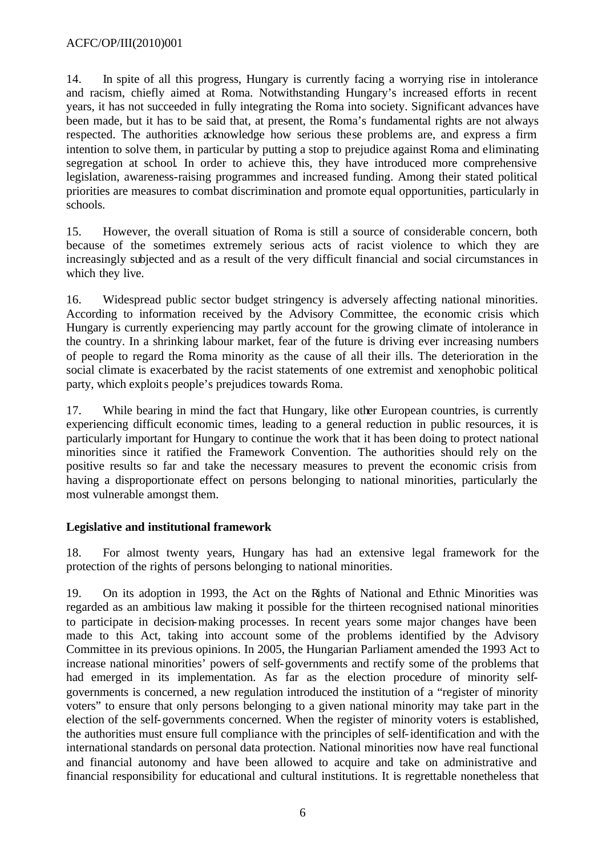14. In spite of all this progress, Hungary is currently facing a worrying rise in intolerance and racism, chiefly aimed at Roma. Notwithstanding Hungary's increased efforts in recent years, it has not succeeded in fully integrating the Roma into society. Significant advances have been made, but it has to be said that, at present, the Roma's fundamental rights are not always respected. The authorities acknowledge how serious these problems are, and express a firm intention to solve them, in particular by putting a stop to prejudice against Roma and eliminating segregation at school. In order to achieve this, they have introduced more comprehensive legislation, awareness-raising programmes and increased funding. Among their stated political priorities are measures to combat discrimination and promote equal opportunities, particularly in schools.

15. However, the overall situation of Roma is still a source of considerable concern, both because of the sometimes extremely serious acts of racist violence to which they are increasingly subjected and as a result of the very difficult financial and social circumstances in which they live.

16. Widespread public sector budget stringency is adversely affecting national minorities. According to information received by the Advisory Committee, the economic crisis which Hungary is currently experiencing may partly account for the growing climate of intolerance in the country. In a shrinking labour market, fear of the future is driving ever increasing numbers of people to regard the Roma minority as the cause of all their ills. The deterioration in the social climate is exacerbated by the racist statements of one extremist and xenophobic political party, which exploits people's prejudices towards Roma.

17. While bearing in mind the fact that Hungary, like other European countries, is currently experiencing difficult economic times, leading to a general reduction in public resources, it is particularly important for Hungary to continue the work that it has been doing to protect national minorities since it ratified the Framework Convention. The authorities should rely on the positive results so far and take the necessary measures to prevent the economic crisis from having a disproportionate effect on persons belonging to national minorities, particularly the most vulnerable amongst them.

## **Legislative and institutional framework**

18. For almost twenty years, Hungary has had an extensive legal framework for the protection of the rights of persons belonging to national minorities.

19. On its adoption in 1993, the Act on the Rights of National and Ethnic Minorities was regarded as an ambitious law making it possible for the thirteen recognised national minorities to participate in decision-making processes. In recent years some major changes have been made to this Act, taking into account some of the problems identified by the Advisory Committee in its previous opinions. In 2005, the Hungarian Parliament amended the 1993 Act to increase national minorities' powers of self-governments and rectify some of the problems that had emerged in its implementation. As far as the election procedure of minority selfgovernments is concerned, a new regulation introduced the institution of a "register of minority voters" to ensure that only persons belonging to a given national minority may take part in the election of the self-governments concerned. When the register of minority voters is established, the authorities must ensure full compliance with the principles of self-identification and with the international standards on personal data protection. National minorities now have real functional and financial autonomy and have been allowed to acquire and take on administrative and financial responsibility for educational and cultural institutions. It is regrettable nonetheless that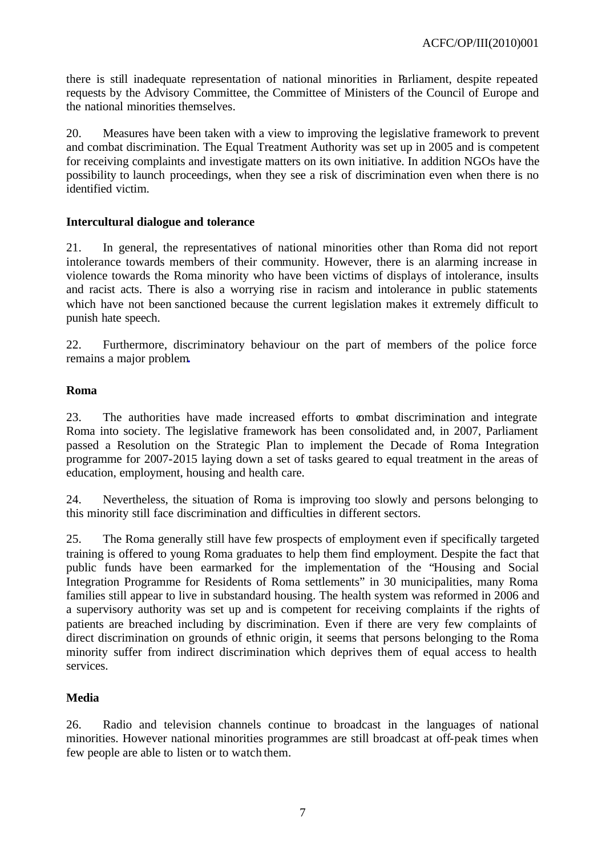there is still inadequate representation of national minorities in Parliament, despite repeated requests by the Advisory Committee, the Committee of Ministers of the Council of Europe and the national minorities themselves.

20. Measures have been taken with a view to improving the legislative framework to prevent and combat discrimination. The Equal Treatment Authority was set up in 2005 and is competent for receiving complaints and investigate matters on its own initiative. In addition NGOs have the possibility to launch proceedings, when they see a risk of discrimination even when there is no identified victim.

## **Intercultural dialogue and tolerance**

21. In general, the representatives of national minorities other than Roma did not report intolerance towards members of their community. However, there is an alarming increase in violence towards the Roma minority who have been victims of displays of intolerance, insults and racist acts. There is also a worrying rise in racism and intolerance in public statements which have not been sanctioned because the current legislation makes it extremely difficult to punish hate speech.

22. Furthermore, discriminatory behaviour on the part of members of the police force remains a major problem**.**

#### **Roma**

23. The authorities have made increased efforts to combat discrimination and integrate Roma into society. The legislative framework has been consolidated and, in 2007, Parliament passed a Resolution on the Strategic Plan to implement the Decade of Roma Integration programme for 2007-2015 laying down a set of tasks geared to equal treatment in the areas of education, employment, housing and health care.

24. Nevertheless, the situation of Roma is improving too slowly and persons belonging to this minority still face discrimination and difficulties in different sectors.

25. The Roma generally still have few prospects of employment even if specifically targeted training is offered to young Roma graduates to help them find employment. Despite the fact that public funds have been earmarked for the implementation of the "Housing and Social Integration Programme for Residents of Roma settlements" in 30 municipalities, many Roma families still appear to live in substandard housing. The health system was reformed in 2006 and a supervisory authority was set up and is competent for receiving complaints if the rights of patients are breached including by discrimination. Even if there are very few complaints of direct discrimination on grounds of ethnic origin, it seems that persons belonging to the Roma minority suffer from indirect discrimination which deprives them of equal access to health services.

#### **Media**

26. Radio and television channels continue to broadcast in the languages of national minorities. However national minorities programmes are still broadcast at off-peak times when few people are able to listen or to watch them.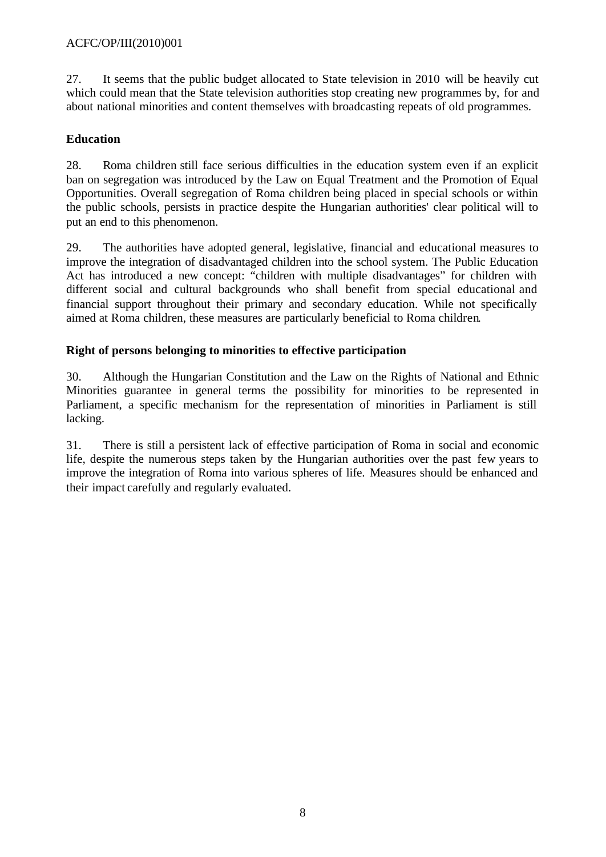## ACFC/OP/III(2010)001

27. It seems that the public budget allocated to State television in 2010 will be heavily cut which could mean that the State television authorities stop creating new programmes by, for and about national minorities and content themselves with broadcasting repeats of old programmes.

## **Education**

28. Roma children still face serious difficulties in the education system even if an explicit ban on segregation was introduced by the Law on Equal Treatment and the Promotion of Equal Opportunities. Overall segregation of Roma children being placed in special schools or within the public schools, persists in practice despite the Hungarian authorities' clear political will to put an end to this phenomenon.

29. The authorities have adopted general, legislative, financial and educational measures to improve the integration of disadvantaged children into the school system. The Public Education Act has introduced a new concept: "children with multiple disadvantages" for children with different social and cultural backgrounds who shall benefit from special educational and financial support throughout their primary and secondary education. While not specifically aimed at Roma children, these measures are particularly beneficial to Roma children.

## **Right of persons belonging to minorities to effective participation**

30. Although the Hungarian Constitution and the Law on the Rights of National and Ethnic Minorities guarantee in general terms the possibility for minorities to be represented in Parliament, a specific mechanism for the representation of minorities in Parliament is still lacking.

31. There is still a persistent lack of effective participation of Roma in social and economic life, despite the numerous steps taken by the Hungarian authorities over the past few years to improve the integration of Roma into various spheres of life. Measures should be enhanced and their impact carefully and regularly evaluated.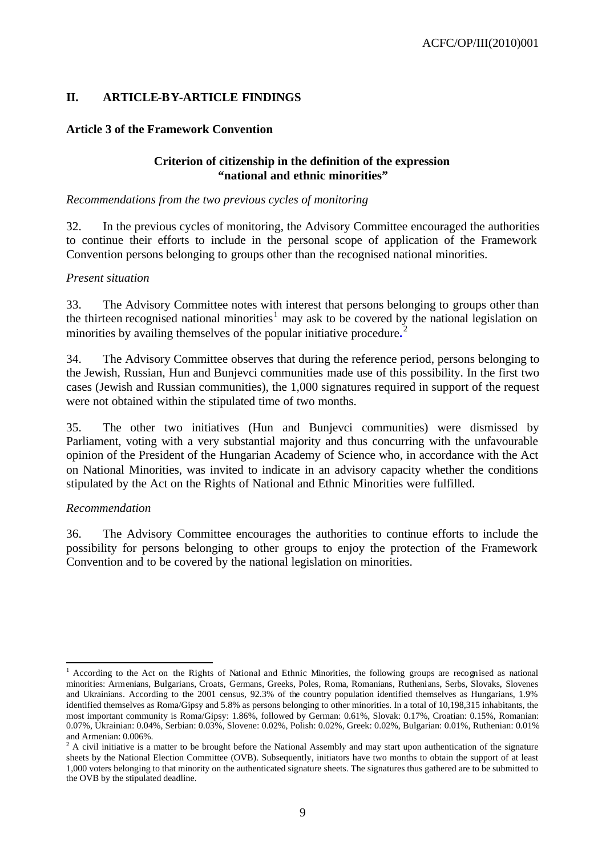## **II. ARTICLE-BY-ARTICLE FINDINGS**

## **Article 3 of the Framework Convention**

## **Criterion of citizenship in the definition of the expression "national and ethnic minorities"**

*Recommendations from the two previous cycles of monitoring*

32. In the previous cycles of monitoring, the Advisory Committee encouraged the authorities to continue their efforts to include in the personal scope of application of the Framework Convention persons belonging to groups other than the recognised national minorities.

#### *Present situation*

33. The Advisory Committee notes with interest that persons belonging to groups other than the thirteen recognised national minorities<sup>1</sup> may ask to be covered by the national legislation on minorities by availing themselves of the popular initiative procedure**.** 2

34. The Advisory Committee observes that during the reference period, persons belonging to the Jewish, Russian, Hun and Bunjevci communities made use of this possibility. In the first two cases (Jewish and Russian communities), the 1,000 signatures required in support of the request were not obtained within the stipulated time of two months.

35. The other two initiatives (Hun and Bunjevci communities) were dismissed by Parliament, voting with a very substantial majority and thus concurring with the unfavourable opinion of the President of the Hungarian Academy of Science who, in accordance with the Act on National Minorities, was invited to indicate in an advisory capacity whether the conditions stipulated by the Act on the Rights of National and Ethnic Minorities were fulfilled.

#### *Recommendation*

l

36. The Advisory Committee encourages the authorities to continue efforts to include the possibility for persons belonging to other groups to enjoy the protection of the Framework Convention and to be covered by the national legislation on minorities.

<sup>&</sup>lt;sup>1</sup> According to the Act on the Rights of National and Ethnic Minorities, the following groups are recognised as national minorities: Armenians, Bulgarians, Croats, Germans, Greeks, Poles, Roma, Romanians, Ruthenians, Serbs, Slovaks, Slovenes and Ukrainians. According to the 2001 census, 92.3% of the country population identified themselves as Hungarians, 1.9% identified themselves as Roma/Gipsy and 5.8% as persons belonging to other minorities. In a total of 10,198,315 inhabitants, the most important community is Roma/Gipsy: 1.86%, followed by German: 0.61%, Slovak: 0.17%, Croatian: 0.15%, Romanian: 0.07%, Ukrainian: 0.04%, Serbian: 0.03%, Slovene: 0.02%, Polish: 0.02%, Greek: 0.02%, Bulgarian: 0.01%, Ruthenian: 0.01% and Armenian: 0.006%.

 $2 A$  civil initiative is a matter to be brought before the National Assembly and may start upon authentication of the signature sheets by the National Election Committee (OVB). Subsequently, initiators have two months to obtain the support of at least 1,000 voters belonging to that minority on the authenticated signature sheets. The signatures thus gathered are to be submitted to the OVB by the stipulated deadline.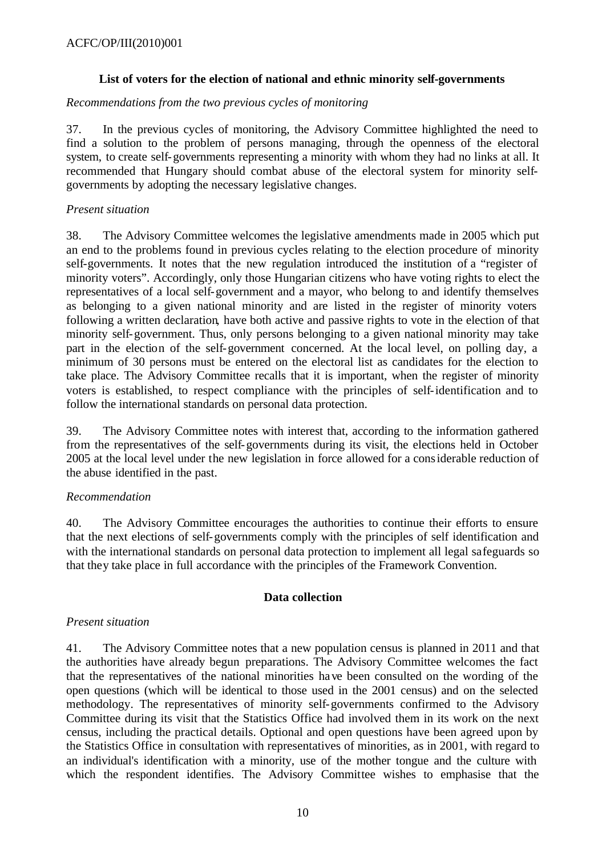## **List of voters for the election of national and ethnic minority self-governments**

### *Recommendations from the two previous cycles of monitoring*

37. In the previous cycles of monitoring, the Advisory Committee highlighted the need to find a solution to the problem of persons managing, through the openness of the electoral system, to create self-governments representing a minority with whom they had no links at all. It recommended that Hungary should combat abuse of the electoral system for minority selfgovernments by adopting the necessary legislative changes.

## *Present situation*

38. The Advisory Committee welcomes the legislative amendments made in 2005 which put an end to the problems found in previous cycles relating to the election procedure of minority self-governments. It notes that the new regulation introduced the institution of a "register of minority voters". Accordingly, only those Hungarian citizens who have voting rights to elect the representatives of a local self-government and a mayor, who belong to and identify themselves as belonging to a given national minority and are listed in the register of minority voters following a written declaration, have both active and passive rights to vote in the election of that minority self-government. Thus, only persons belonging to a given national minority may take part in the election of the self-government concerned. At the local level, on polling day, a minimum of 30 persons must be entered on the electoral list as candidates for the election to take place. The Advisory Committee recalls that it is important, when the register of minority voters is established, to respect compliance with the principles of self-identification and to follow the international standards on personal data protection.

39. The Advisory Committee notes with interest that, according to the information gathered from the representatives of the self-governments during its visit, the elections held in October 2005 at the local level under the new legislation in force allowed for a considerable reduction of the abuse identified in the past.

## *Recommendation*

40. The Advisory Committee encourages the authorities to continue their efforts to ensure that the next elections of self-governments comply with the principles of self identification and with the international standards on personal data protection to implement all legal safeguards so that they take place in full accordance with the principles of the Framework Convention.

#### **Data collection**

#### *Present situation*

41. The Advisory Committee notes that a new population census is planned in 2011 and that the authorities have already begun preparations. The Advisory Committee welcomes the fact that the representatives of the national minorities have been consulted on the wording of the open questions (which will be identical to those used in the 2001 census) and on the selected methodology. The representatives of minority self-governments confirmed to the Advisory Committee during its visit that the Statistics Office had involved them in its work on the next census, including the practical details. Optional and open questions have been agreed upon by the Statistics Office in consultation with representatives of minorities, as in 2001, with regard to an individual's identification with a minority, use of the mother tongue and the culture with which the respondent identifies. The Advisory Committee wishes to emphasise that the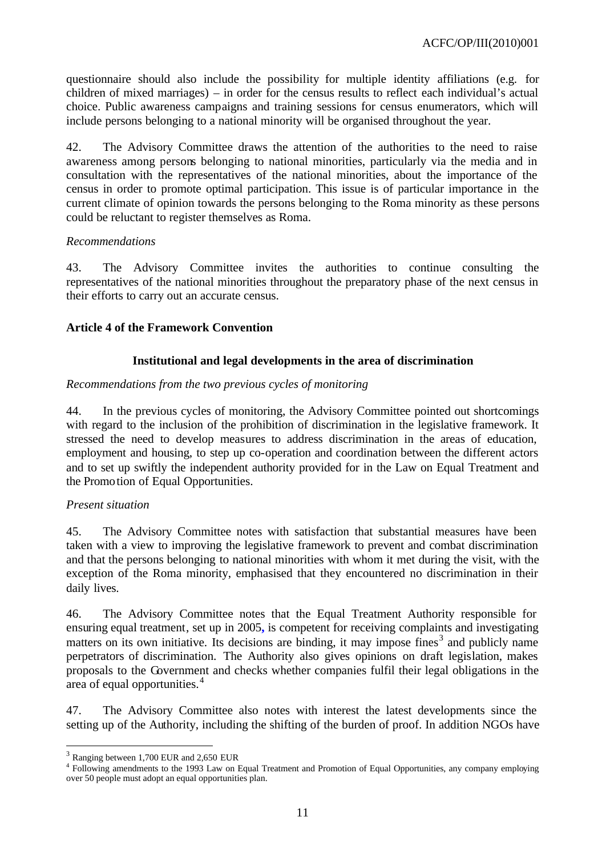questionnaire should also include the possibility for multiple identity affiliations (e.g. for children of mixed marriages) – in order for the census results to reflect each individual's actual choice. Public awareness campaigns and training sessions for census enumerators, which will include persons belonging to a national minority will be organised throughout the year.

42. The Advisory Committee draws the attention of the authorities to the need to raise awareness among persons belonging to national minorities, particularly via the media and in consultation with the representatives of the national minorities, about the importance of the census in order to promote optimal participation. This issue is of particular importance in the current climate of opinion towards the persons belonging to the Roma minority as these persons could be reluctant to register themselves as Roma.

#### *Recommendations*

43. The Advisory Committee invites the authorities to continue consulting the representatives of the national minorities throughout the preparatory phase of the next census in their efforts to carry out an accurate census.

#### **Article 4 of the Framework Convention**

#### **Institutional and legal developments in the area of discrimination**

#### *Recommendations from the two previous cycles of monitoring*

44. In the previous cycles of monitoring, the Advisory Committee pointed out shortcomings with regard to the inclusion of the prohibition of discrimination in the legislative framework. It stressed the need to develop measures to address discrimination in the areas of education, employment and housing, to step up co-operation and coordination between the different actors and to set up swiftly the independent authority provided for in the Law on Equal Treatment and the Promotion of Equal Opportunities.

#### *Present situation*

45. The Advisory Committee notes with satisfaction that substantial measures have been taken with a view to improving the legislative framework to prevent and combat discrimination and that the persons belonging to national minorities with whom it met during the visit, with the exception of the Roma minority, emphasised that they encountered no discrimination in their daily lives.

46. The Advisory Committee notes that the Equal Treatment Authority responsible for ensuring equal treatment, set up in 2005**,** is competent for receiving complaints and investigating matters on its own initiative. Its decisions are binding, it may impose fines<sup>3</sup> and publicly name perpetrators of discrimination. The Authority also gives opinions on draft legislation, makes proposals to the Government and checks whether companies fulfil their legal obligations in the area of equal opportunities.<sup>4</sup>

47. The Advisory Committee also notes with interest the latest developments since the setting up of the Authority, including the shifting of the burden of proof. In addition NGOs have

l

<sup>&</sup>lt;sup>3</sup> Ranging between 1,700 EUR and 2,650 EUR

<sup>4</sup> Following amendments to the 1993 Law on Equal Treatment and Promotion of Equal Opportunities, any company employing over 50 people must adopt an equal opportunities plan.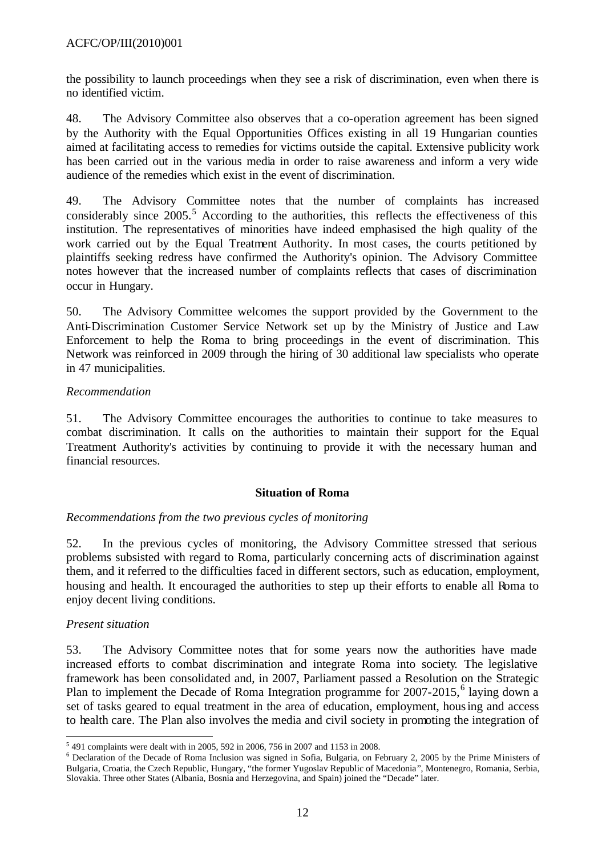the possibility to launch proceedings when they see a risk of discrimination, even when there is no identified victim.

48. The Advisory Committee also observes that a co-operation agreement has been signed by the Authority with the Equal Opportunities Offices existing in all 19 Hungarian counties aimed at facilitating access to remedies for victims outside the capital. Extensive publicity work has been carried out in the various media in order to raise awareness and inform a very wide audience of the remedies which exist in the event of discrimination.

49. The Advisory Committee notes that the number of complaints has increased considerably since  $2005$ .<sup>5</sup> According to the authorities, this reflects the effectiveness of this institution. The representatives of minorities have indeed emphasised the high quality of the work carried out by the Equal Treatment Authority. In most cases, the courts petitioned by plaintiffs seeking redress have confirmed the Authority's opinion. The Advisory Committee notes however that the increased number of complaints reflects that cases of discrimination occur in Hungary.

50. The Advisory Committee welcomes the support provided by the Government to the Anti-Discrimination Customer Service Network set up by the Ministry of Justice and Law Enforcement to help the Roma to bring proceedings in the event of discrimination. This Network was reinforced in 2009 through the hiring of 30 additional law specialists who operate in 47 municipalities.

## *Recommendation*

51. The Advisory Committee encourages the authorities to continue to take measures to combat discrimination. It calls on the authorities to maintain their support for the Equal Treatment Authority's activities by continuing to provide it with the necessary human and financial resources.

#### **Situation of Roma**

## *Recommendations from the two previous cycles of monitoring*

52. In the previous cycles of monitoring, the Advisory Committee stressed that serious problems subsisted with regard to Roma, particularly concerning acts of discrimination against them, and it referred to the difficulties faced in different sectors, such as education, employment, housing and health. It encouraged the authorities to step up their efforts to enable all Roma to enjoy decent living conditions.

## *Present situation*

53. The Advisory Committee notes that for some years now the authorities have made increased efforts to combat discrimination and integrate Roma into society. The legislative framework has been consolidated and, in 2007, Parliament passed a Resolution on the Strategic Plan to implement the Decade of Roma Integration programme for 2007-2015,<sup>6</sup> laying down a set of tasks geared to equal treatment in the area of education, employment, housing and access to health care. The Plan also involves the media and civil society in promoting the integration of

l 5 491 complaints were dealt with in 2005, 592 in 2006, 756 in 2007 and 1153 in 2008.

<sup>&</sup>lt;sup>6</sup> Declaration of the Decade of Roma Inclusion was signed in Sofia, Bulgaria, on February 2, 2005 by the Prime Ministers of Bulgaria, Croatia, the Czech Republic, Hungary, "the former Yugoslav Republic of Macedonia", Montenegro, Romania, Serbia, Slovakia. Three other States (Albania, Bosnia and Herzegovina, and Spain) joined the "Decade" later.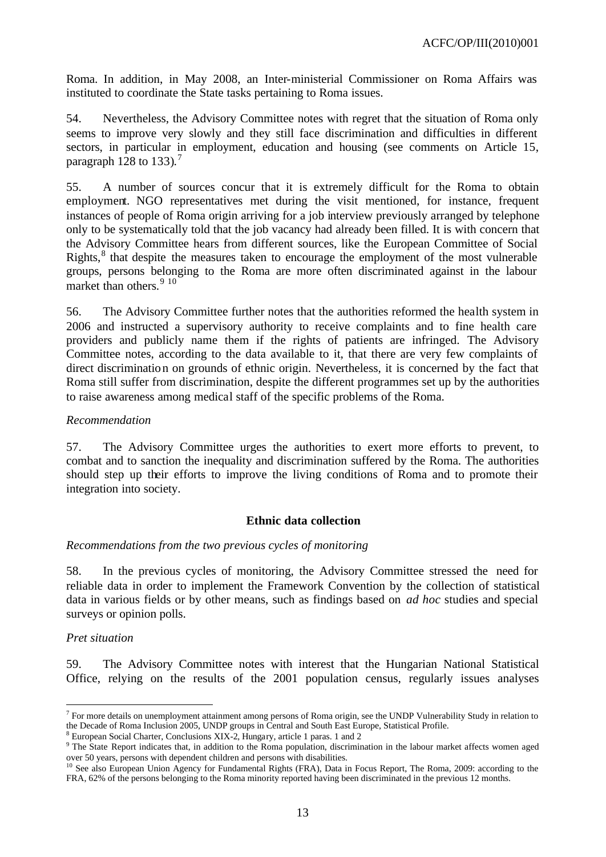Roma. In addition, in May 2008, an Inter-ministerial Commissioner on Roma Affairs was instituted to coordinate the State tasks pertaining to Roma issues.

54. Nevertheless, the Advisory Committee notes with regret that the situation of Roma only seems to improve very slowly and they still face discrimination and difficulties in different sectors, in particular in employment, education and housing (see comments on Article 15, paragraph  $128$  to  $133$ ).<sup>7</sup>

55. A number of sources concur that it is extremely difficult for the Roma to obtain employment. NGO representatives met during the visit mentioned, for instance, frequent instances of people of Roma origin arriving for a job interview previously arranged by telephone only to be systematically told that the job vacancy had already been filled. It is with concern that the Advisory Committee hears from different sources, like the European Committee of Social Rights,<sup>8</sup> that despite the measures taken to encourage the employment of the most vulnerable groups, persons belonging to the Roma are more often discriminated against in the labour market than others.<sup>9</sup> <sup>10</sup>

56. The Advisory Committee further notes that the authorities reformed the health system in 2006 and instructed a supervisory authority to receive complaints and to fine health care providers and publicly name them if the rights of patients are infringed. The Advisory Committee notes, according to the data available to it, that there are very few complaints of direct discrimination on grounds of ethnic origin. Nevertheless, it is concerned by the fact that Roma still suffer from discrimination, despite the different programmes set up by the authorities to raise awareness among medical staff of the specific problems of the Roma.

#### *Recommendation*

57. The Advisory Committee urges the authorities to exert more efforts to prevent, to combat and to sanction the inequality and discrimination suffered by the Roma. The authorities should step up their efforts to improve the living conditions of Roma and to promote their integration into society.

#### **Ethnic data collection**

#### *Recommendations from the two previous cycles of monitoring*

58. In the previous cycles of monitoring, the Advisory Committee stressed the need for reliable data in order to implement the Framework Convention by the collection of statistical data in various fields or by other means, such as findings based on *ad hoc* studies and special surveys or opinion polls.

#### *Pret situation*

l

59. The Advisory Committee notes with interest that the Hungarian National Statistical Office, relying on the results of the 2001 population census, regularly issues analyses

 $7$  For more details on unemployment attainment among persons of Roma origin, see the UNDP Vulnerability Study in relation to the Decade of Roma Inclusion 2005, UNDP groups in Central and South East Europe, Statistical Profile.

<sup>&</sup>lt;sup>8</sup> European Social Charter, Conclusions XIX-2, Hungary, article 1 paras. 1 and 2

<sup>&</sup>lt;sup>9</sup> The State Report indicates that, in addition to the Roma population, discrimination in the labour market affects women aged over 50 years, persons with dependent children and persons with disabilities.

<sup>&</sup>lt;sup>10</sup> See also European Union Agency for Fundamental Rights (FRA), Data in Focus Report, The Roma, 2009: according to the FRA, 62% of the persons belonging to the Roma minority reported having been discriminated in the previous 12 months.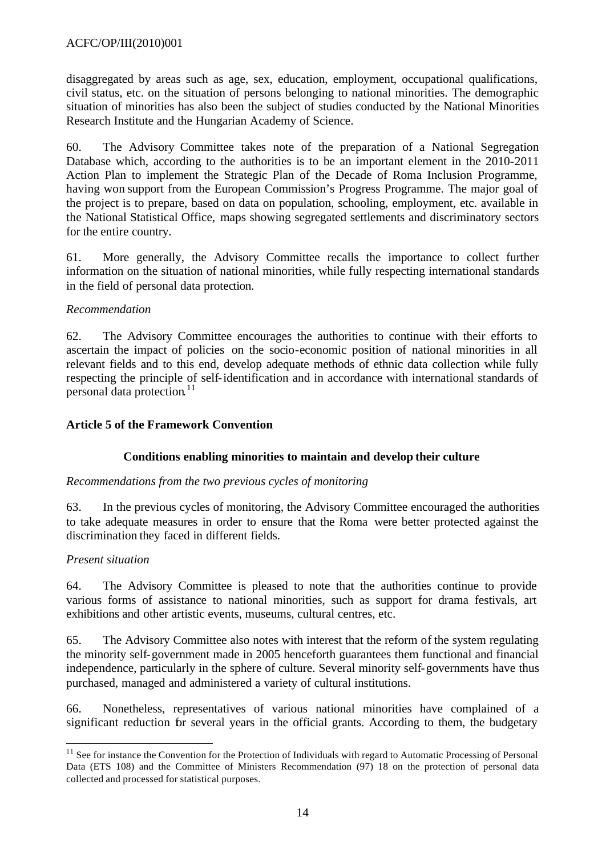disaggregated by areas such as age, sex, education, employment, occupational qualifications, civil status, etc. on the situation of persons belonging to national minorities. The demographic situation of minorities has also been the subject of studies conducted by the National Minorities Research Institute and the Hungarian Academy of Science.

60. The Advisory Committee takes note of the preparation of a National Segregation Database which, according to the authorities is to be an important element in the 2010-2011 Action Plan to implement the Strategic Plan of the Decade of Roma Inclusion Programme, having won support from the European Commission's Progress Programme. The major goal of the project is to prepare, based on data on population, schooling, employment, etc. available in the National Statistical Office, maps showing segregated settlements and discriminatory sectors for the entire country.

61. More generally, the Advisory Committee recalls the importance to collect further information on the situation of national minorities, while fully respecting international standards in the field of personal data protection.

## *Recommendation*

62. The Advisory Committee encourages the authorities to continue with their efforts to ascertain the impact of policies on the socio-economic position of national minorities in all relevant fields and to this end, develop adequate methods of ethnic data collection while fully respecting the principle of self-identification and in accordance with international standards of personal data protection.<sup>11</sup>

## **Article 5 of the Framework Convention**

## **Conditions enabling minorities to maintain and develop their culture**

#### *Recommendations from the two previous cycles of monitoring*

63. In the previous cycles of monitoring, the Advisory Committee encouraged the authorities to take adequate measures in order to ensure that the Roma were better protected against the discrimination they faced in different fields.

#### *Present situation*

l

64. The Advisory Committee is pleased to note that the authorities continue to provide various forms of assistance to national minorities, such as support for drama festivals, art exhibitions and other artistic events, museums, cultural centres, etc.

65. The Advisory Committee also notes with interest that the reform of the system regulating the minority self-government made in 2005 henceforth guarantees them functional and financial independence, particularly in the sphere of culture. Several minority self-governments have thus purchased, managed and administered a variety of cultural institutions.

66. Nonetheless, representatives of various national minorities have complained of a significant reduction for several years in the official grants. According to them, the budgetary

 $11$  See for instance the Convention for the Protection of Individuals with regard to Automatic Processing of Personal Data (ETS 108) and the Committee of Ministers Recommendation (97) 18 on the protection of personal data collected and processed for statistical purposes.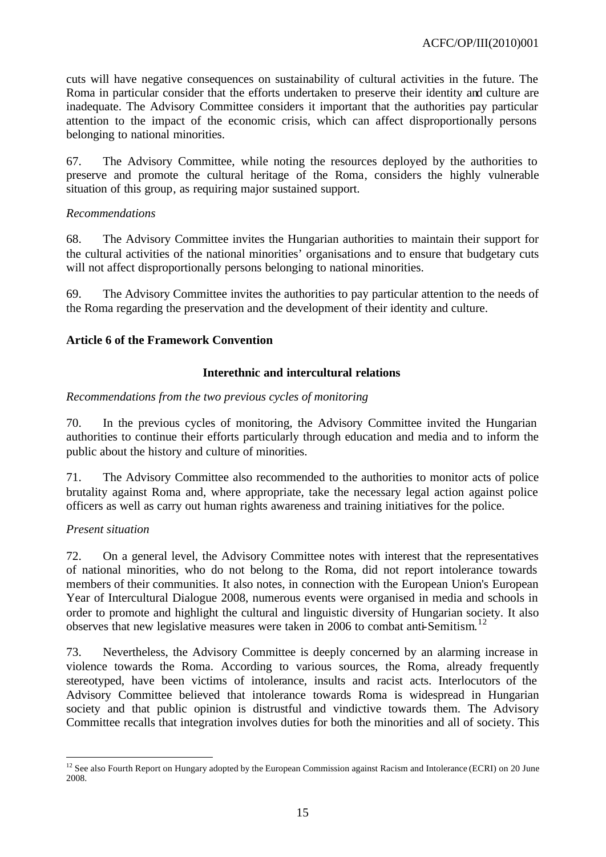cuts will have negative consequences on sustainability of cultural activities in the future. The Roma in particular consider that the efforts undertaken to preserve their identity and culture are inadequate. The Advisory Committee considers it important that the authorities pay particular attention to the impact of the economic crisis, which can affect disproportionally persons belonging to national minorities.

67. The Advisory Committee, while noting the resources deployed by the authorities to preserve and promote the cultural heritage of the Roma, considers the highly vulnerable situation of this group, as requiring major sustained support.

### *Recommendations*

68. The Advisory Committee invites the Hungarian authorities to maintain their support for the cultural activities of the national minorities' organisations and to ensure that budgetary cuts will not affect disproportionally persons belonging to national minorities.

69. The Advisory Committee invites the authorities to pay particular attention to the needs of the Roma regarding the preservation and the development of their identity and culture.

## **Article 6 of the Framework Convention**

## **Interethnic and intercultural relations**

#### *Recommendations from the two previous cycles of monitoring*

70. In the previous cycles of monitoring, the Advisory Committee invited the Hungarian authorities to continue their efforts particularly through education and media and to inform the public about the history and culture of minorities.

71. The Advisory Committee also recommended to the authorities to monitor acts of police brutality against Roma and, where appropriate, take the necessary legal action against police officers as well as carry out human rights awareness and training initiatives for the police.

#### *Present situation*

l

72. On a general level, the Advisory Committee notes with interest that the representatives of national minorities, who do not belong to the Roma, did not report intolerance towards members of their communities. It also notes, in connection with the European Union's European Year of Intercultural Dialogue 2008, numerous events were organised in media and schools in order to promote and highlight the cultural and linguistic diversity of Hungarian society. It also observes that new legislative measures were taken in 2006 to combat anti-Semitism. 12

73. Nevertheless, the Advisory Committee is deeply concerned by an alarming increase in violence towards the Roma. According to various sources, the Roma, already frequently stereotyped, have been victims of intolerance, insults and racist acts. Interlocutors of the Advisory Committee believed that intolerance towards Roma is widespread in Hungarian society and that public opinion is distrustful and vindictive towards them. The Advisory Committee recalls that integration involves duties for both the minorities and all of society. This

 $12$  See also Fourth Report on Hungary adopted by the European Commission against Racism and Intolerance (ECRI) on 20 June 2008.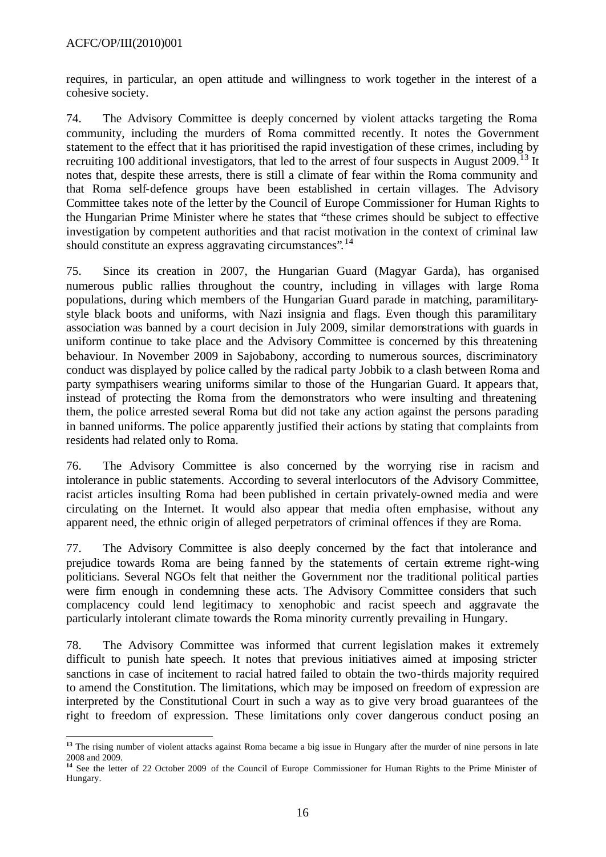requires, in particular, an open attitude and willingness to work together in the interest of a cohesive society.

74. The Advisory Committee is deeply concerned by violent attacks targeting the Roma community, including the murders of Roma committed recently. It notes the Government statement to the effect that it has prioritised the rapid investigation of these crimes, including by recruiting 100 additional investigators, that led to the arrest of four suspects in August 2009.<sup>13</sup> It notes that, despite these arrests, there is still a climate of fear within the Roma community and that Roma self-defence groups have been established in certain villages. The Advisory Committee takes note of the letter by the Council of Europe Commissioner for Human Rights to the Hungarian Prime Minister where he states that "these crimes should be subject to effective investigation by competent authorities and that racist motivation in the context of criminal law should constitute an express aggravating circumstances".<sup>14</sup>

75. Since its creation in 2007, the Hungarian Guard (Magyar Garda), has organised numerous public rallies throughout the country, including in villages with large Roma populations, during which members of the Hungarian Guard parade in matching, paramilitarystyle black boots and uniforms, with Nazi insignia and flags. Even though this paramilitary association was banned by a court decision in July 2009, similar demonstrations with guards in uniform continue to take place and the Advisory Committee is concerned by this threatening behaviour. In November 2009 in Sajobabony, according to numerous sources, discriminatory conduct was displayed by police called by the radical party Jobbik to a clash between Roma and party sympathisers wearing uniforms similar to those of the Hungarian Guard. It appears that, instead of protecting the Roma from the demonstrators who were insulting and threatening them, the police arrested several Roma but did not take any action against the persons parading in banned uniforms. The police apparently justified their actions by stating that complaints from residents had related only to Roma.

76. The Advisory Committee is also concerned by the worrying rise in racism and intolerance in public statements. According to several interlocutors of the Advisory Committee, racist articles insulting Roma had been published in certain privately-owned media and were circulating on the Internet. It would also appear that media often emphasise, without any apparent need, the ethnic origin of alleged perpetrators of criminal offences if they are Roma.

77. The Advisory Committee is also deeply concerned by the fact that intolerance and prejudice towards Roma are being fanned by the statements of certain extreme right-wing politicians. Several NGOs felt that neither the Government nor the traditional political parties were firm enough in condemning these acts. The Advisory Committee considers that such complacency could lend legitimacy to xenophobic and racist speech and aggravate the particularly intolerant climate towards the Roma minority currently prevailing in Hungary.

78. The Advisory Committee was informed that current legislation makes it extremely difficult to punish hate speech. It notes that previous initiatives aimed at imposing stricter sanctions in case of incitement to racial hatred failed to obtain the two-thirds majority required to amend the Constitution. The limitations, which may be imposed on freedom of expression are interpreted by the Constitutional Court in such a way as to give very broad guarantees of the right to freedom of expression. These limitations only cover dangerous conduct posing an

l **<sup>13</sup>** The rising number of violent attacks against Roma became a big issue in Hungary after the murder of nine persons in late 2008 and 2009.

**<sup>14</sup>** See the letter of 22 October 2009 of the Council of Europe Commissioner for Human Rights to the Prime Minister of Hungary.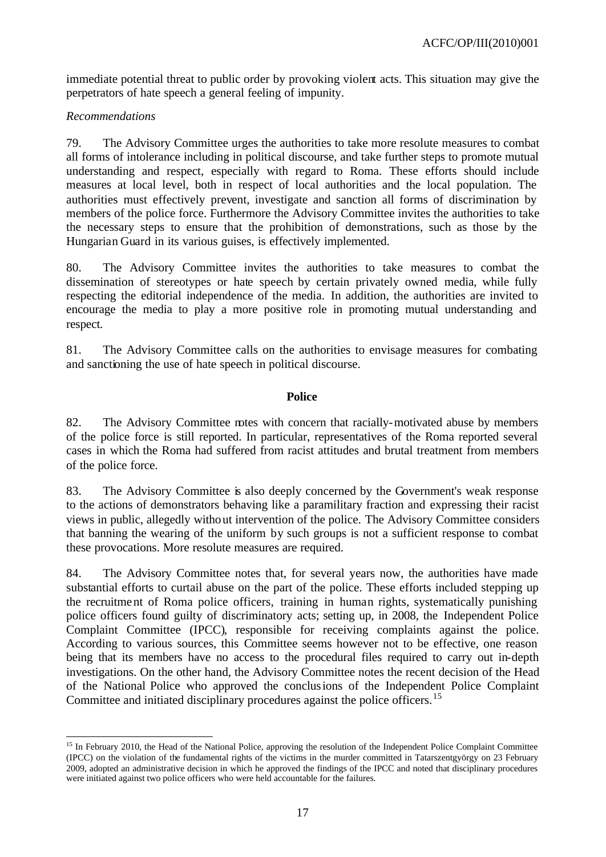immediate potential threat to public order by provoking violent acts. This situation may give the perpetrators of hate speech a general feeling of impunity.

## *Recommendations*

79. The Advisory Committee urges the authorities to take more resolute measures to combat all forms of intolerance including in political discourse, and take further steps to promote mutual understanding and respect, especially with regard to Roma. These efforts should include measures at local level, both in respect of local authorities and the local population. The authorities must effectively prevent, investigate and sanction all forms of discrimination by members of the police force. Furthermore the Advisory Committee invites the authorities to take the necessary steps to ensure that the prohibition of demonstrations, such as those by the Hungarian Guard in its various guises, is effectively implemented.

80. The Advisory Committee invites the authorities to take measures to combat the dissemination of stereotypes or hate speech by certain privately owned media, while fully respecting the editorial independence of the media. In addition, the authorities are invited to encourage the media to play a more positive role in promoting mutual understanding and respect.

81. The Advisory Committee calls on the authorities to envisage measures for combating and sanctioning the use of hate speech in political discourse.

#### **Police**

82. The Advisory Committee notes with concern that racially-motivated abuse by members of the police force is still reported. In particular, representatives of the Roma reported several cases in which the Roma had suffered from racist attitudes and brutal treatment from members of the police force.

83. The Advisory Committee is also deeply concerned by the Government's weak response to the actions of demonstrators behaving like a paramilitary fraction and expressing their racist views in public, allegedly without intervention of the police. The Advisory Committee considers that banning the wearing of the uniform by such groups is not a sufficient response to combat these provocations. More resolute measures are required.

84. The Advisory Committee notes that, for several years now, the authorities have made substantial efforts to curtail abuse on the part of the police. These efforts included stepping up the recruitment of Roma police officers, training in human rights, systematically punishing police officers found guilty of discriminatory acts; setting up, in 2008, the Independent Police Complaint Committee (IPCC), responsible for receiving complaints against the police. According to various sources, this Committee seems however not to be effective, one reason being that its members have no access to the procedural files required to carry out in-depth investigations. On the other hand, the Advisory Committee notes the recent decision of the Head of the National Police who approved the conclusions of the Independent Police Complaint Committee and initiated disciplinary procedures against the police officers.<sup>15</sup>

l <sup>15</sup> In February 2010, the Head of the National Police, approving the resolution of the Independent Police Complaint Committee (IPCC) on the violation of the fundamental rights of the victims in the murder committed in Tatarszentgyörgy on 23 February 2009, adopted an administrative decision in which he approved the findings of the IPCC and noted that disciplinary procedures were initiated against two police officers who were held accountable for the failures.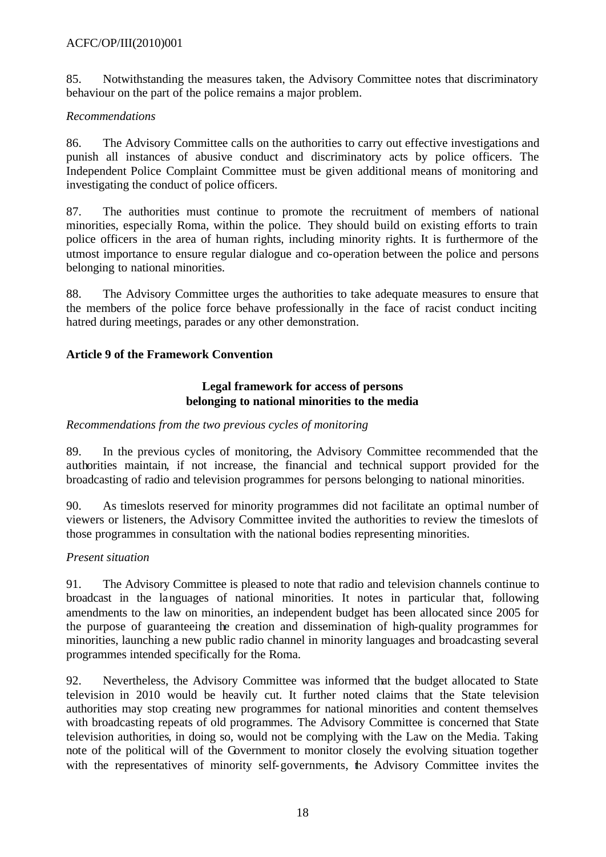## ACFC/OP/III(2010)001

85. Notwithstanding the measures taken, the Advisory Committee notes that discriminatory behaviour on the part of the police remains a major problem.

## *Recommendations*

86. The Advisory Committee calls on the authorities to carry out effective investigations and punish all instances of abusive conduct and discriminatory acts by police officers. The Independent Police Complaint Committee must be given additional means of monitoring and investigating the conduct of police officers.

87. The authorities must continue to promote the recruitment of members of national minorities, especially Roma, within the police. They should build on existing efforts to train police officers in the area of human rights, including minority rights. It is furthermore of the utmost importance to ensure regular dialogue and co-operation between the police and persons belonging to national minorities.

88. The Advisory Committee urges the authorities to take adequate measures to ensure that the members of the police force behave professionally in the face of racist conduct inciting hatred during meetings, parades or any other demonstration.

## **Article 9 of the Framework Convention**

## **Legal framework for access of persons belonging to national minorities to the media**

## *Recommendations from the two previous cycles of monitoring*

89. In the previous cycles of monitoring, the Advisory Committee recommended that the authorities maintain, if not increase, the financial and technical support provided for the broadcasting of radio and television programmes for persons belonging to national minorities.

90. As timeslots reserved for minority programmes did not facilitate an optimal number of viewers or listeners, the Advisory Committee invited the authorities to review the timeslots of those programmes in consultation with the national bodies representing minorities.

#### *Present situation*

91. The Advisory Committee is pleased to note that radio and television channels continue to broadcast in the languages of national minorities. It notes in particular that, following amendments to the law on minorities, an independent budget has been allocated since 2005 for the purpose of guaranteeing the creation and dissemination of high-quality programmes for minorities, launching a new public radio channel in minority languages and broadcasting several programmes intended specifically for the Roma.

92. Nevertheless, the Advisory Committee was informed that the budget allocated to State television in 2010 would be heavily cut. It further noted claims that the State television authorities may stop creating new programmes for national minorities and content themselves with broadcasting repeats of old programmes. The Advisory Committee is concerned that State television authorities, in doing so, would not be complying with the Law on the Media. Taking note of the political will of the Government to monitor closely the evolving situation together with the representatives of minority self-governments, the Advisory Committee invites the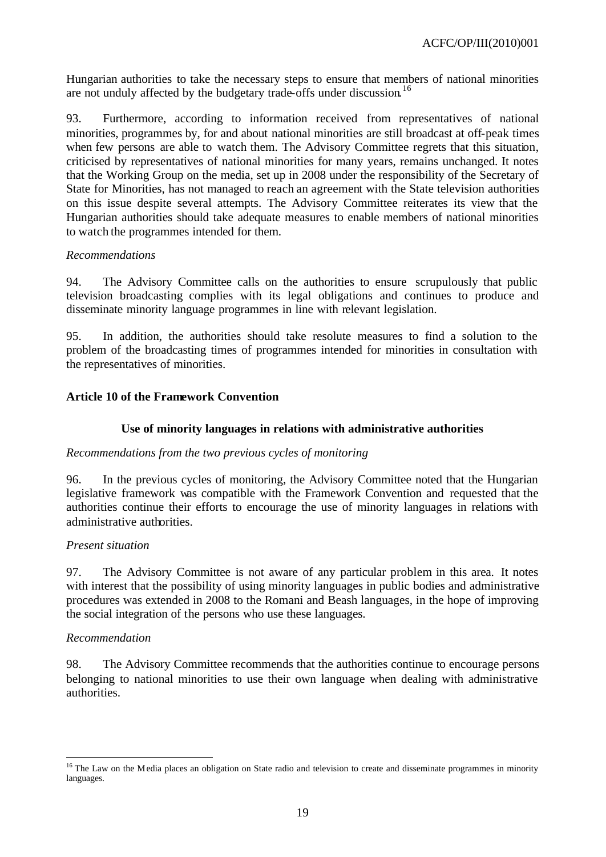Hungarian authorities to take the necessary steps to ensure that members of national minorities are not unduly affected by the budgetary trade-offs under discussion.<sup>16</sup>

93. Furthermore, according to information received from representatives of national minorities, programmes by, for and about national minorities are still broadcast at off-peak times when few persons are able to watch them. The Advisory Committee regrets that this situation, criticised by representatives of national minorities for many years, remains unchanged. It notes that the Working Group on the media, set up in 2008 under the responsibility of the Secretary of State for Minorities, has not managed to reach an agreement with the State television authorities on this issue despite several attempts. The Advisory Committee reiterates its view that the Hungarian authorities should take adequate measures to enable members of national minorities to watch the programmes intended for them.

#### *Recommendations*

94. The Advisory Committee calls on the authorities to ensure scrupulously that public television broadcasting complies with its legal obligations and continues to produce and disseminate minority language programmes in line with relevant legislation.

95. In addition, the authorities should take resolute measures to find a solution to the problem of the broadcasting times of programmes intended for minorities in consultation with the representatives of minorities.

#### **Article 10 of the Framework Convention**

#### **Use of minority languages in relations with administrative authorities**

#### *Recommendations from the two previous cycles of monitoring*

96. In the previous cycles of monitoring, the Advisory Committee noted that the Hungarian legislative framework was compatible with the Framework Convention and requested that the authorities continue their efforts to encourage the use of minority languages in relations with administrative authorities.

#### *Present situation*

97. The Advisory Committee is not aware of any particular problem in this area. It notes with interest that the possibility of using minority languages in public bodies and administrative procedures was extended in 2008 to the Romani and Beash languages, in the hope of improving the social integration of the persons who use these languages.

#### *Recommendation*

l

98. The Advisory Committee recommends that the authorities continue to encourage persons belonging to national minorities to use their own language when dealing with administrative authorities.

<sup>&</sup>lt;sup>16</sup> The Law on the Media places an obligation on State radio and television to create and disseminate programmes in minority languages.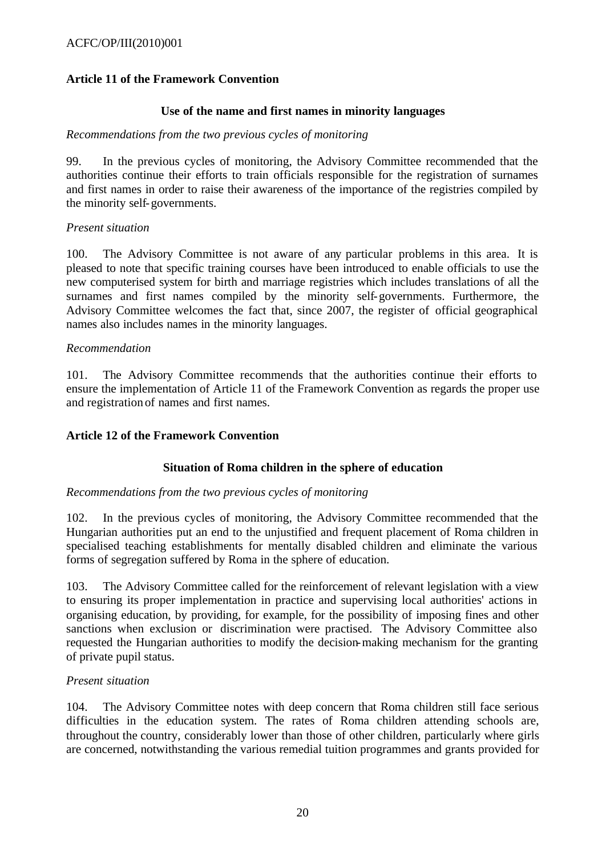## **Article 11 of the Framework Convention**

## **Use of the name and first names in minority languages**

## *Recommendations from the two previous cycles of monitoring*

99. In the previous cycles of monitoring, the Advisory Committee recommended that the authorities continue their efforts to train officials responsible for the registration of surnames and first names in order to raise their awareness of the importance of the registries compiled by the minority self-governments.

## *Present situation*

100. The Advisory Committee is not aware of any particular problems in this area. It is pleased to note that specific training courses have been introduced to enable officials to use the new computerised system for birth and marriage registries which includes translations of all the surnames and first names compiled by the minority self-governments. Furthermore, the Advisory Committee welcomes the fact that, since 2007, the register of official geographical names also includes names in the minority languages.

## *Recommendation*

101. The Advisory Committee recommends that the authorities continue their efforts to ensure the implementation of Article 11 of the Framework Convention as regards the proper use and registration of names and first names.

## **Article 12 of the Framework Convention**

## **Situation of Roma children in the sphere of education**

#### *Recommendations from the two previous cycles of monitoring*

102. In the previous cycles of monitoring, the Advisory Committee recommended that the Hungarian authorities put an end to the unjustified and frequent placement of Roma children in specialised teaching establishments for mentally disabled children and eliminate the various forms of segregation suffered by Roma in the sphere of education.

103. The Advisory Committee called for the reinforcement of relevant legislation with a view to ensuring its proper implementation in practice and supervising local authorities' actions in organising education, by providing, for example, for the possibility of imposing fines and other sanctions when exclusion or discrimination were practised. The Advisory Committee also requested the Hungarian authorities to modify the decision-making mechanism for the granting of private pupil status.

#### *Present situation*

104. The Advisory Committee notes with deep concern that Roma children still face serious difficulties in the education system. The rates of Roma children attending schools are, throughout the country, considerably lower than those of other children, particularly where girls are concerned, notwithstanding the various remedial tuition programmes and grants provided for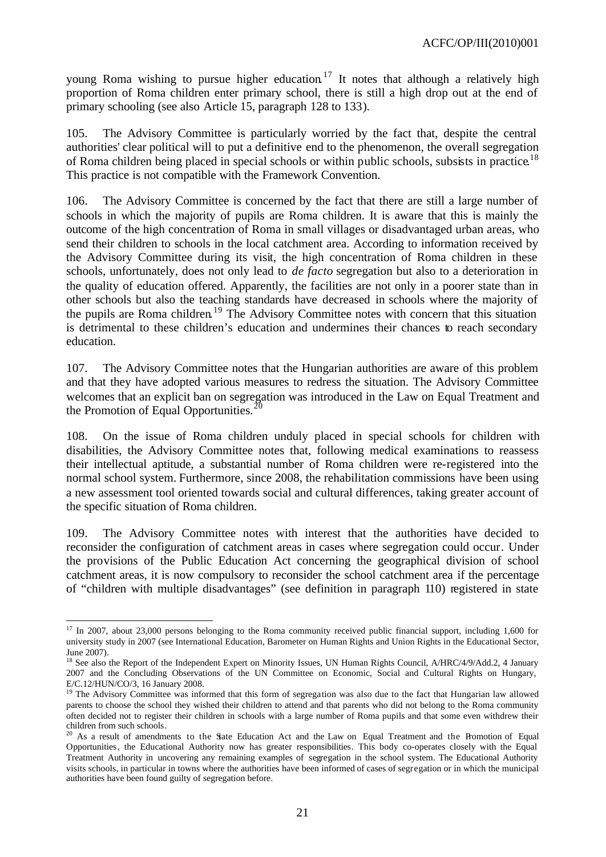young Roma wishing to pursue higher education.<sup>17</sup> It notes that although a relatively high proportion of Roma children enter primary school, there is still a high drop out at the end of primary schooling (see also Article 15, paragraph 128 to 133).

105. The Advisory Committee is particularly worried by the fact that, despite the central authorities' clear political will to put a definitive end to the phenomenon, the overall segregation of Roma children being placed in special schools or within public schools, subsists in practice.<sup>18</sup> This practice is not compatible with the Framework Convention.

106. The Advisory Committee is concerned by the fact that there are still a large number of schools in which the majority of pupils are Roma children. It is aware that this is mainly the outcome of the high concentration of Roma in small villages or disadvantaged urban areas, who send their children to schools in the local catchment area. According to information received by the Advisory Committee during its visit, the high concentration of Roma children in these schools, unfortunately, does not only lead to *de facto* segregation but also to a deterioration in the quality of education offered. Apparently, the facilities are not only in a poorer state than in other schools but also the teaching standards have decreased in schools where the majority of the pupils are Roma children.<sup>19</sup> The Advisory Committee notes with concern that this situation is detrimental to these children's education and undermines their chances to reach secondary education.

107. The Advisory Committee notes that the Hungarian authorities are aware of this problem and that they have adopted various measures to redress the situation. The Advisory Committee welcomes that an explicit ban on segregation was introduced in the Law on Equal Treatment and the Promotion of Equal Opportunities.<sup>20</sup>

108. On the issue of Roma children unduly placed in special schools for children with disabilities, the Advisory Committee notes that, following medical examinations to reassess their intellectual aptitude, a substantial number of Roma children were re-registered into the normal school system. Furthermore, since 2008, the rehabilitation commissions have been using a new assessment tool oriented towards social and cultural differences, taking greater account of the specific situation of Roma children.

109. The Advisory Committee notes with interest that the authorities have decided to reconsider the configuration of catchment areas in cases where segregation could occur. Under the provisions of the Public Education Act concerning the geographical division of school catchment areas, it is now compulsory to reconsider the school catchment area if the percentage of "children with multiple disadvantages" (see definition in paragraph 110) registered in state

l  $17$  In 2007, about 23,000 persons belonging to the Roma community received public financial support, including 1,600 for university study in 2007 (see International Education, Barometer on Human Rights and Union Rights in the Educational Sector, June 2007).

<sup>&</sup>lt;sup>18</sup> See also the Report of the Independent Expert on Minority Issues, UN Human Rights Council, A/HRC/4/9/Add.2, 4 January 2007 and the Concluding Observations of the UN Committee on Economic, Social and Cultural Rights on Hungary, E/C.12/HUN/CO/3, 16 January 2008.

 $19$  The Advisory Committee was informed that this form of segregation was also due to the fact that Hungarian law allowed parents to choose the school they wished their children to attend and that parents who did not belong to the Roma community often decided not to register their children in schools with a large number of Roma pupils and that some even withdrew their children from such schools.

<sup>&</sup>lt;sup>20</sup> As a result of amendments to the State Education Act and the Law on Equal Treatment and the Promotion of Equal Opportunities, the Educational Authority now has greater responsibilities. This body co-operates closely with the Equal Treatment Authority in uncovering any remaining examples of segregation in the school system. The Educational Authority visits schools, in particular in towns where the authorities have been informed of cases of segregation or in which the municipal authorities have been found guilty of segregation before.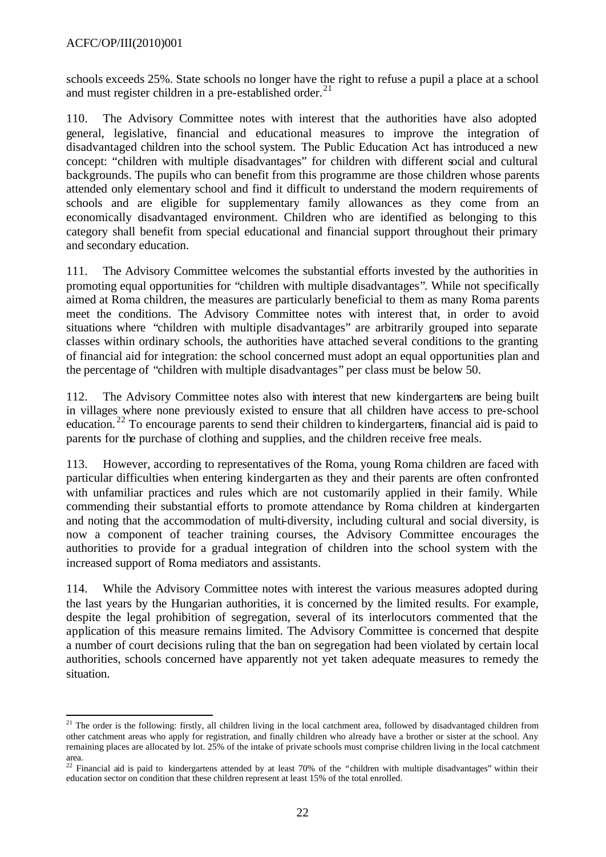schools exceeds 25%. State schools no longer have the right to refuse a pupil a place at a school and must register children in a pre-established order.<sup>21</sup>

110. The Advisory Committee notes with interest that the authorities have also adopted general, legislative, financial and educational measures to improve the integration of disadvantaged children into the school system. The Public Education Act has introduced a new concept: "children with multiple disadvantages" for children with different social and cultural backgrounds. The pupils who can benefit from this programme are those children whose parents attended only elementary school and find it difficult to understand the modern requirements of schools and are eligible for supplementary family allowances as they come from an economically disadvantaged environment. Children who are identified as belonging to this category shall benefit from special educational and financial support throughout their primary and secondary education.

111. The Advisory Committee welcomes the substantial efforts invested by the authorities in promoting equal opportunities for "children with multiple disadvantages". While not specifically aimed at Roma children, the measures are particularly beneficial to them as many Roma parents meet the conditions. The Advisory Committee notes with interest that, in order to avoid situations where "children with multiple disadvantages" are arbitrarily grouped into separate classes within ordinary schools, the authorities have attached several conditions to the granting of financial aid for integration: the school concerned must adopt an equal opportunities plan and the percentage of "children with multiple disadvantages" per class must be below 50.

112. The Advisory Committee notes also with interest that new kindergartens are being built in villages where none previously existed to ensure that all children have access to pre-school education.<sup>22</sup> To encourage parents to send their children to kindergartens, financial aid is paid to parents for the purchase of clothing and supplies, and the children receive free meals.

113. However, according to representatives of the Roma, young Roma children are faced with particular difficulties when entering kindergarten as they and their parents are often confronted with unfamiliar practices and rules which are not customarily applied in their family. While commending their substantial efforts to promote attendance by Roma children at kindergarten and noting that the accommodation of multi-diversity, including cultural and social diversity, is now a component of teacher training courses, the Advisory Committee encourages the authorities to provide for a gradual integration of children into the school system with the increased support of Roma mediators and assistants.

114. While the Advisory Committee notes with interest the various measures adopted during the last years by the Hungarian authorities, it is concerned by the limited results. For example, despite the legal prohibition of segregation, several of its interlocutors commented that the application of this measure remains limited. The Advisory Committee is concerned that despite a number of court decisions ruling that the ban on segregation had been violated by certain local authorities, schools concerned have apparently not yet taken adequate measures to remedy the situation.

l <sup>21</sup> The order is the following: firstly, all children living in the local catchment area, followed by disadvantaged children from other catchment areas who apply for registration, and finally children who already have a brother or sister at the school. Any remaining places are allocated by lot. 25% of the intake of private schools must comprise children living in the local catchment area.

<sup>&</sup>lt;sup>22</sup> Financial aid is paid to kindergartens attended by at least 70% of the "children with multiple disadvantages" within their education sector on condition that these children represent at least 15% of the total enrolled.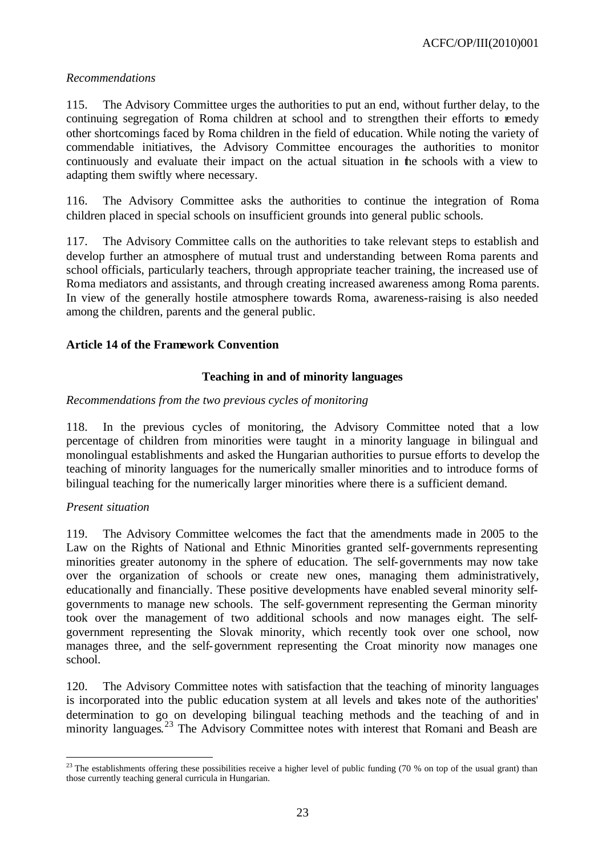## *Recommendations*

115. The Advisory Committee urges the authorities to put an end, without further delay, to the continuing segregation of Roma children at school and to strengthen their efforts to remedy other shortcomings faced by Roma children in the field of education. While noting the variety of commendable initiatives, the Advisory Committee encourages the authorities to monitor continuously and evaluate their impact on the actual situation in the schools with a view to adapting them swiftly where necessary.

116. The Advisory Committee asks the authorities to continue the integration of Roma children placed in special schools on insufficient grounds into general public schools.

117. The Advisory Committee calls on the authorities to take relevant steps to establish and develop further an atmosphere of mutual trust and understanding between Roma parents and school officials, particularly teachers, through appropriate teacher training, the increased use of Roma mediators and assistants, and through creating increased awareness among Roma parents. In view of the generally hostile atmosphere towards Roma, awareness-raising is also needed among the children, parents and the general public.

## **Article 14 of the Framework Convention**

## **Teaching in and of minority languages**

#### *Recommendations from the two previous cycles of monitoring*

118. In the previous cycles of monitoring, the Advisory Committee noted that a low percentage of children from minorities were taught in a minority language in bilingual and monolingual establishments and asked the Hungarian authorities to pursue efforts to develop the teaching of minority languages for the numerically smaller minorities and to introduce forms of bilingual teaching for the numerically larger minorities where there is a sufficient demand.

#### *Present situation*

l

119. The Advisory Committee welcomes the fact that the amendments made in 2005 to the Law on the Rights of National and Ethnic Minorities granted self-governments representing minorities greater autonomy in the sphere of education. The self-governments may now take over the organization of schools or create new ones, managing them administratively, educationally and financially. These positive developments have enabled several minority selfgovernments to manage new schools. The self-government representing the German minority took over the management of two additional schools and now manages eight. The selfgovernment representing the Slovak minority, which recently took over one school, now manages three, and the self-government representing the Croat minority now manages one school.

120. The Advisory Committee notes with satisfaction that the teaching of minority languages is incorporated into the public education system at all levels and takes note of the authorities' determination to go on developing bilingual teaching methods and the teaching of and in minority languages.<sup>23</sup> The Advisory Committee notes with interest that Romani and Beash are

 $^{23}$  The establishments offering these possibilities receive a higher level of public funding (70 % on top of the usual grant) than those currently teaching general curricula in Hungarian.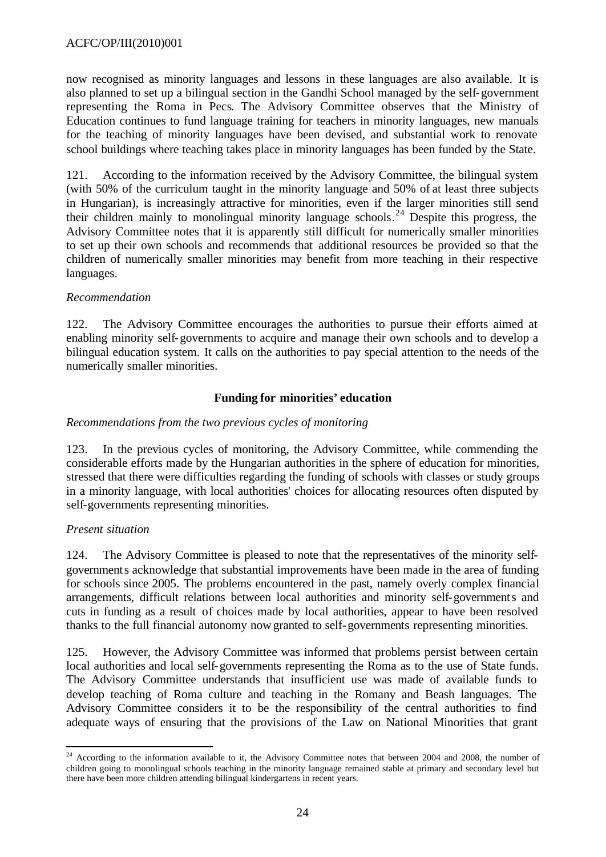now recognised as minority languages and lessons in these languages are also available. It is also planned to set up a bilingual section in the Gandhi School managed by the self-government representing the Roma in Pecs. The Advisory Committee observes that the Ministry of Education continues to fund language training for teachers in minority languages, new manuals for the teaching of minority languages have been devised, and substantial work to renovate school buildings where teaching takes place in minority languages has been funded by the State.

121. According to the information received by the Advisory Committee, the bilingual system (with 50% of the curriculum taught in the minority language and 50% of at least three subjects in Hungarian), is increasingly attractive for minorities, even if the larger minorities still send their children mainly to monolingual minority language schools. <sup>24</sup> Despite this progress, the Advisory Committee notes that it is apparently still difficult for numerically smaller minorities to set up their own schools and recommends that additional resources be provided so that the children of numerically smaller minorities may benefit from more teaching in their respective languages.

## *Recommendation*

122. The Advisory Committee encourages the authorities to pursue their efforts aimed at enabling minority self-governments to acquire and manage their own schools and to develop a bilingual education system. It calls on the authorities to pay special attention to the needs of the numerically smaller minorities.

## **Funding for minorities' education**

## *Recommendations from the two previous cycles of monitoring*

123. In the previous cycles of monitoring, the Advisory Committee, while commending the considerable efforts made by the Hungarian authorities in the sphere of education for minorities, stressed that there were difficulties regarding the funding of schools with classes or study groups in a minority language, with local authorities' choices for allocating resources often disputed by self-governments representing minorities.

#### *Present situation*

l

124. The Advisory Committee is pleased to note that the representatives of the minority selfgovernments acknowledge that substantial improvements have been made in the area of funding for schools since 2005. The problems encountered in the past, namely overly complex financial arrangements, difficult relations between local authorities and minority self-governments and cuts in funding as a result of choices made by local authorities, appear to have been resolved thanks to the full financial autonomy now granted to self-governments representing minorities.

125. However, the Advisory Committee was informed that problems persist between certain local authorities and local self-governments representing the Roma as to the use of State funds. The Advisory Committee understands that insufficient use was made of available funds to develop teaching of Roma culture and teaching in the Romany and Beash languages. The Advisory Committee considers it to be the responsibility of the central authorities to find adequate ways of ensuring that the provisions of the Law on National Minorities that grant

<sup>&</sup>lt;sup>24</sup> According to the information available to it, the Advisory Committee notes that between 2004 and 2008, the number of children going to monolingual schools teaching in the minority language remained stable at primary and secondary level but there have been more children attending bilingual kindergartens in recent years.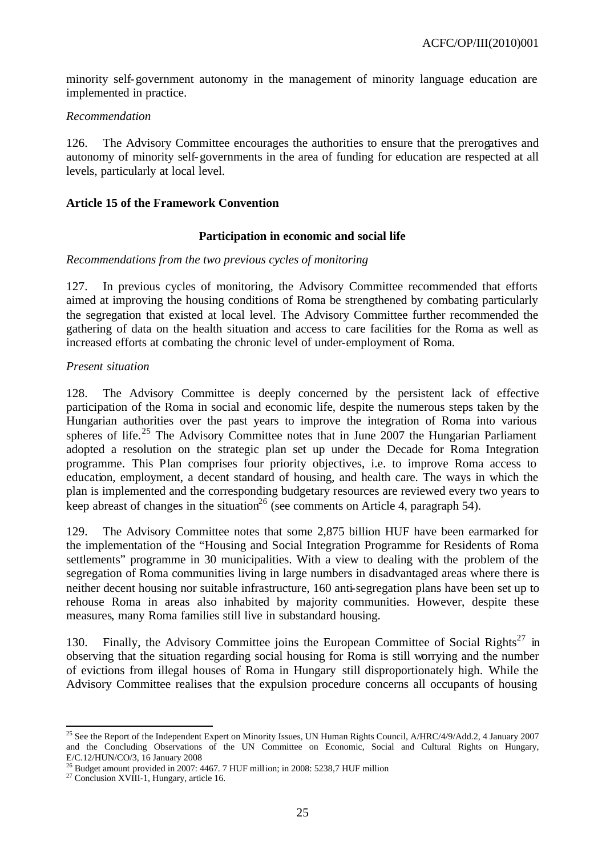minority self-government autonomy in the management of minority language education are implemented in practice.

#### *Recommendation*

126. The Advisory Committee encourages the authorities to ensure that the prerogatives and autonomy of minority self-governments in the area of funding for education are respected at all levels, particularly at local level.

## **Article 15 of the Framework Convention**

## **Participation in economic and social life**

#### *Recommendations from the two previous cycles of monitoring*

127. In previous cycles of monitoring, the Advisory Committee recommended that efforts aimed at improving the housing conditions of Roma be strengthened by combating particularly the segregation that existed at local level. The Advisory Committee further recommended the gathering of data on the health situation and access to care facilities for the Roma as well as increased efforts at combating the chronic level of under-employment of Roma.

## *Present situation*

128. The Advisory Committee is deeply concerned by the persistent lack of effective participation of the Roma in social and economic life, despite the numerous steps taken by the Hungarian authorities over the past years to improve the integration of Roma into various spheres of life.<sup>25</sup> The Advisory Committee notes that in June 2007 the Hungarian Parliament adopted a resolution on the strategic plan set up under the Decade for Roma Integration programme. This Plan comprises four priority objectives, i.e. to improve Roma access to education, employment, a decent standard of housing, and health care. The ways in which the plan is implemented and the corresponding budgetary resources are reviewed every two years to keep abreast of changes in the situation<sup>26</sup> (see comments on Article 4, paragraph 54).

129. The Advisory Committee notes that some 2,875 billion HUF have been earmarked for the implementation of the "Housing and Social Integration Programme for Residents of Roma settlements" programme in 30 municipalities. With a view to dealing with the problem of the segregation of Roma communities living in large numbers in disadvantaged areas where there is neither decent housing nor suitable infrastructure, 160 anti-segregation plans have been set up to rehouse Roma in areas also inhabited by majority communities. However, despite these measures, many Roma families still live in substandard housing.

130. Finally, the Advisory Committee joins the European Committee of Social Rights<sup>27</sup> in observing that the situation regarding social housing for Roma is still worrying and the number of evictions from illegal houses of Roma in Hungary still disproportionately high. While the Advisory Committee realises that the expulsion procedure concerns all occupants of housing

l <sup>25</sup> See the Report of the Independent Expert on Minority Issues, UN Human Rights Council,  $A/HRC/4/9/Add.2$ , 4 January 2007 and the Concluding Observations of the UN Committee on Economic, Social and Cultural Rights on Hungary, E/C.12/HUN/CO/3, 16 January 2008

 $^{26}$  Budget amount provided in 2007: 4467. 7 HUF million; in 2008: 5238.7 HUF million

<sup>&</sup>lt;sup>27</sup> Conclusion XVIII-1, Hungary, article 16.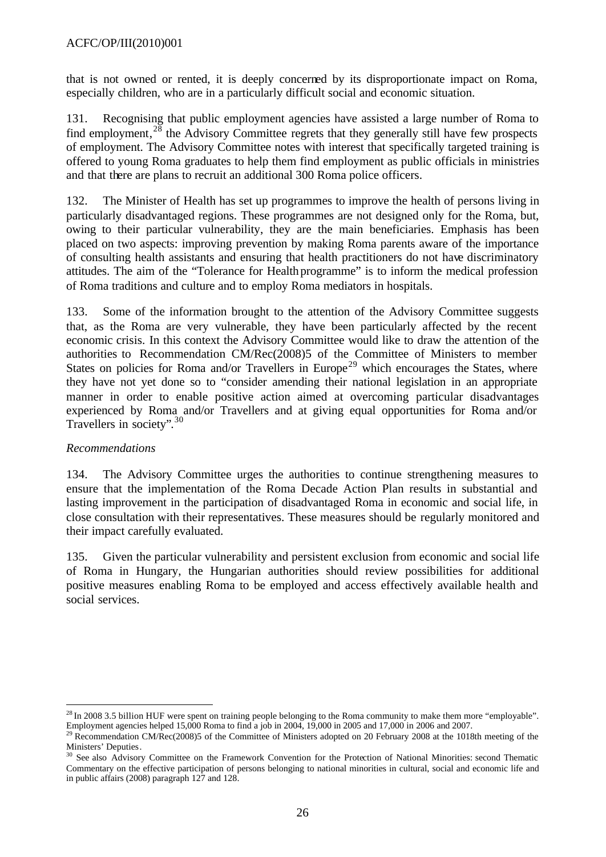that is not owned or rented, it is deeply concerned by its disproportionate impact on Roma, especially children, who are in a particularly difficult social and economic situation.

131. Recognising that public employment agencies have assisted a large number of Roma to find employment,  $2\bar{8}$  the Advisory Committee regrets that they generally still have few prospects of employment. The Advisory Committee notes with interest that specifically targeted training is offered to young Roma graduates to help them find employment as public officials in ministries and that there are plans to recruit an additional 300 Roma police officers.

132. The Minister of Health has set up programmes to improve the health of persons living in particularly disadvantaged regions. These programmes are not designed only for the Roma, but, owing to their particular vulnerability, they are the main beneficiaries. Emphasis has been placed on two aspects: improving prevention by making Roma parents aware of the importance of consulting health assistants and ensuring that health practitioners do not have discriminatory attitudes. The aim of the "Tolerance for Healthprogramme" is to inform the medical profession of Roma traditions and culture and to employ Roma mediators in hospitals.

133. Some of the information brought to the attention of the Advisory Committee suggests that, as the Roma are very vulnerable, they have been particularly affected by the recent economic crisis. In this context the Advisory Committee would like to draw the attention of the authorities to Recommendation CM/Rec(2008)5 of the Committee of Ministers to member States on policies for Roma and/or Travellers in Europe<sup>29</sup> which encourages the States, where they have not yet done so to "consider amending their national legislation in an appropriate manner in order to enable positive action aimed at overcoming particular disadvantages experienced by Roma and/or Travellers and at giving equal opportunities for Roma and/or Travellers in society".<sup>30</sup>

## *Recommendations*

l

134. The Advisory Committee urges the authorities to continue strengthening measures to ensure that the implementation of the Roma Decade Action Plan results in substantial and lasting improvement in the participation of disadvantaged Roma in economic and social life, in close consultation with their representatives. These measures should be regularly monitored and their impact carefully evaluated.

135. Given the particular vulnerability and persistent exclusion from economic and social life of Roma in Hungary, the Hungarian authorities should review possibilities for additional positive measures enabling Roma to be employed and access effectively available health and social services.

 $28$  In 2008 3.5 billion HUF were spent on training people belonging to the Roma community to make them more "employable". Employment agencies helped 15,000 Roma to find a job in 2004, 19,000 in 2005 and 17,000 in 2006 and 2007.

<sup>&</sup>lt;sup>29</sup> Recommendation CM/Rec(2008)5 of the Committee of Ministers adopted on 20 February 2008 at the 1018th meeting of the Ministers' Deputies.

<sup>&</sup>lt;sup>30</sup> See also Advisory Committee on the Framework Convention for the Protection of National Minorities: second Thematic Commentary on the effective participation of persons belonging to national minorities in cultural, social and economic life and in public affairs (2008) paragraph 127 and 128.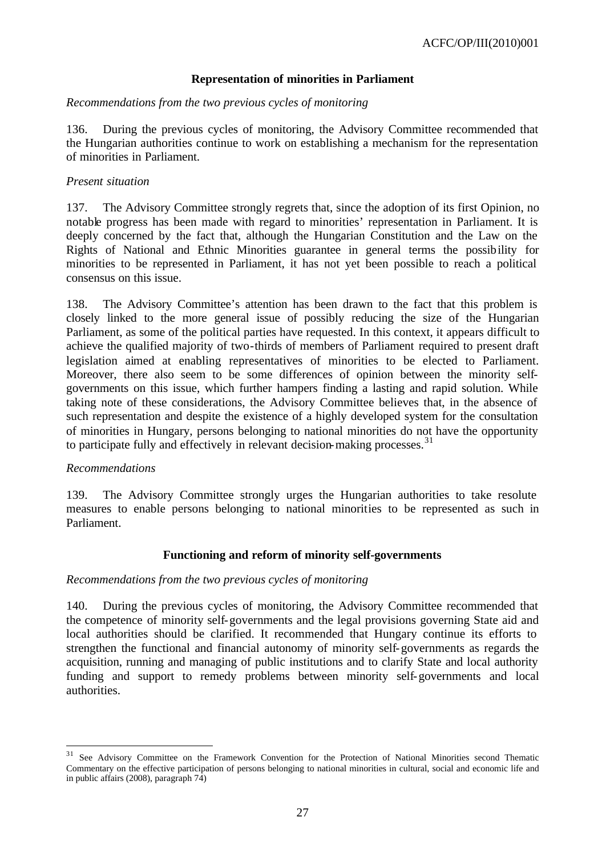## **Representation of minorities in Parliament**

#### *Recommendations from the two previous cycles of monitoring*

136. During the previous cycles of monitoring, the Advisory Committee recommended that the Hungarian authorities continue to work on establishing a mechanism for the representation of minorities in Parliament.

#### *Present situation*

137. The Advisory Committee strongly regrets that, since the adoption of its first Opinion, no notable progress has been made with regard to minorities' representation in Parliament. It is deeply concerned by the fact that, although the Hungarian Constitution and the Law on the Rights of National and Ethnic Minorities guarantee in general terms the possibility for minorities to be represented in Parliament, it has not yet been possible to reach a political consensus on this issue.

138. The Advisory Committee's attention has been drawn to the fact that this problem is closely linked to the more general issue of possibly reducing the size of the Hungarian Parliament, as some of the political parties have requested. In this context, it appears difficult to achieve the qualified majority of two-thirds of members of Parliament required to present draft legislation aimed at enabling representatives of minorities to be elected to Parliament. Moreover, there also seem to be some differences of opinion between the minority selfgovernments on this issue, which further hampers finding a lasting and rapid solution. While taking note of these considerations, the Advisory Committee believes that, in the absence of such representation and despite the existence of a highly developed system for the consultation of minorities in Hungary, persons belonging to national minorities do not have the opportunity to participate fully and effectively in relevant decision-making processes.<sup>31</sup>

#### *Recommendations*

l

139. The Advisory Committee strongly urges the Hungarian authorities to take resolute measures to enable persons belonging to national minorities to be represented as such in Parliament.

#### **Functioning and reform of minority self-governments**

#### *Recommendations from the two previous cycles of monitoring*

140. During the previous cycles of monitoring, the Advisory Committee recommended that the competence of minority self-governments and the legal provisions governing State aid and local authorities should be clarified. It recommended that Hungary continue its efforts to strengthen the functional and financial autonomy of minority self-governments as regards the acquisition, running and managing of public institutions and to clarify State and local authority funding and support to remedy problems between minority self-governments and local authorities.

<sup>&</sup>lt;sup>31</sup> See Advisory Committee on the Framework Convention for the Protection of National Minorities second Thematic Commentary on the effective participation of persons belonging to national minorities in cultural, social and economic life and in public affairs (2008), paragraph 74)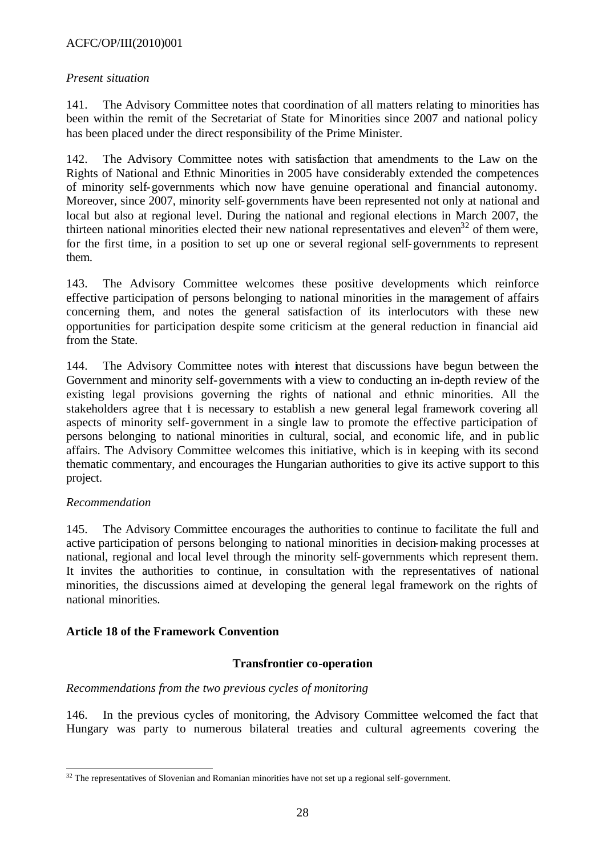## ACFC/OP/III(2010)001

### *Present situation*

141. The Advisory Committee notes that coordination of all matters relating to minorities has been within the remit of the Secretariat of State for Minorities since 2007 and national policy has been placed under the direct responsibility of the Prime Minister.

142. The Advisory Committee notes with satisfaction that amendments to the Law on the Rights of National and Ethnic Minorities in 2005 have considerably extended the competences of minority self-governments which now have genuine operational and financial autonomy. Moreover, since 2007, minority self-governments have been represented not only at national and local but also at regional level. During the national and regional elections in March 2007, the thirteen national minorities elected their new national representatives and eleven<sup>32</sup> of them were, for the first time, in a position to set up one or several regional self-governments to represent them.

143. The Advisory Committee welcomes these positive developments which reinforce effective participation of persons belonging to national minorities in the management of affairs concerning them, and notes the general satisfaction of its interlocutors with these new opportunities for participation despite some criticism at the general reduction in financial aid from the State.

144. The Advisory Committee notes with interest that discussions have begun between the Government and minority self-governments with a view to conducting an in-depth review of the existing legal provisions governing the rights of national and ethnic minorities. All the stakeholders agree that t is necessary to establish a new general legal framework covering all aspects of minority self-government in a single law to promote the effective participation of persons belonging to national minorities in cultural, social, and economic life, and in public affairs. The Advisory Committee welcomes this initiative, which is in keeping with its second thematic commentary, and encourages the Hungarian authorities to give its active support to this project.

#### *Recommendation*

l

145. The Advisory Committee encourages the authorities to continue to facilitate the full and active participation of persons belonging to national minorities in decision-making processes at national, regional and local level through the minority self-governments which represent them. It invites the authorities to continue, in consultation with the representatives of national minorities, the discussions aimed at developing the general legal framework on the rights of national minorities.

## **Article 18 of the Framework Convention**

#### **Transfrontier co-operation**

## *Recommendations from the two previous cycles of monitoring*

146. In the previous cycles of monitoring, the Advisory Committee welcomed the fact that Hungary was party to numerous bilateral treaties and cultural agreements covering the

 $32$  The representatives of Slovenian and Romanian minorities have not set up a regional self-government.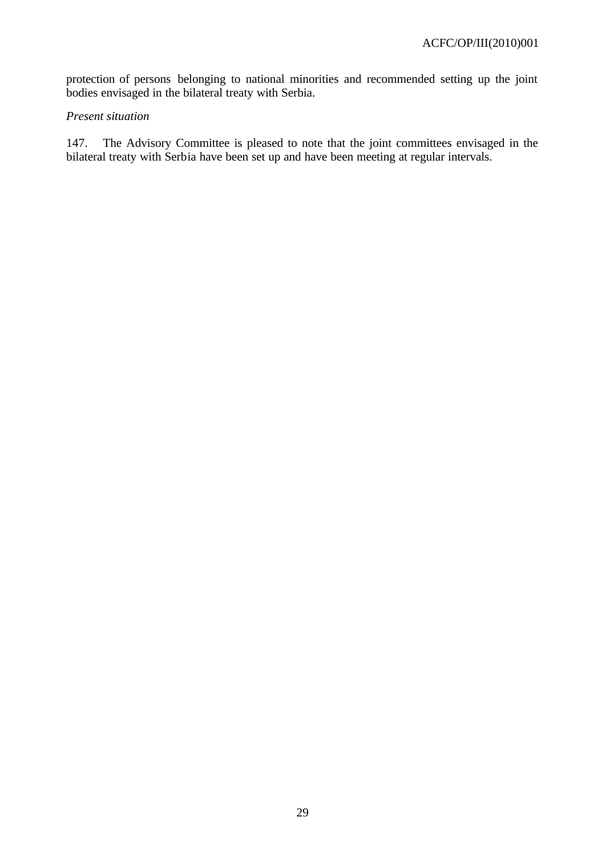protection of persons belonging to national minorities and recommended setting up the joint bodies envisaged in the bilateral treaty with Serbia.

#### *Present situation*

147. The Advisory Committee is pleased to note that the joint committees envisaged in the bilateral treaty with Serbia have been set up and have been meeting at regular intervals.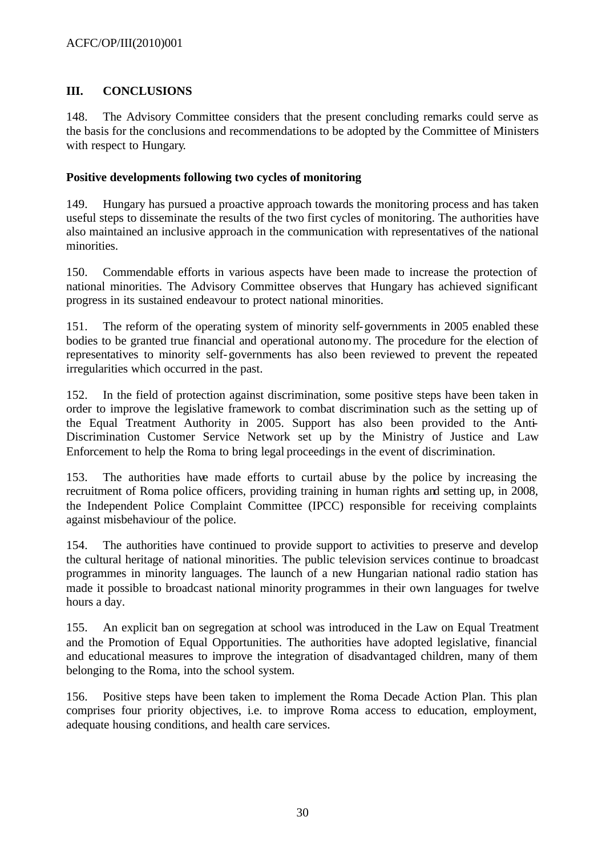# **III. CONCLUSIONS**

148. The Advisory Committee considers that the present concluding remarks could serve as the basis for the conclusions and recommendations to be adopted by the Committee of Ministers with respect to Hungary.

## **Positive developments following two cycles of monitoring**

149. Hungary has pursued a proactive approach towards the monitoring process and has taken useful steps to disseminate the results of the two first cycles of monitoring. The authorities have also maintained an inclusive approach in the communication with representatives of the national minorities.

150. Commendable efforts in various aspects have been made to increase the protection of national minorities. The Advisory Committee observes that Hungary has achieved significant progress in its sustained endeavour to protect national minorities.

151. The reform of the operating system of minority self-governments in 2005 enabled these bodies to be granted true financial and operational autonomy. The procedure for the election of representatives to minority self-governments has also been reviewed to prevent the repeated irregularities which occurred in the past.

152. In the field of protection against discrimination, some positive steps have been taken in order to improve the legislative framework to combat discrimination such as the setting up of the Equal Treatment Authority in 2005. Support has also been provided to the Anti-Discrimination Customer Service Network set up by the Ministry of Justice and Law Enforcement to help the Roma to bring legal proceedings in the event of discrimination.

153. The authorities have made efforts to curtail abuse by the police by increasing the recruitment of Roma police officers, providing training in human rights and setting up, in 2008, the Independent Police Complaint Committee (IPCC) responsible for receiving complaints against misbehaviour of the police.

154. The authorities have continued to provide support to activities to preserve and develop the cultural heritage of national minorities. The public television services continue to broadcast programmes in minority languages. The launch of a new Hungarian national radio station has made it possible to broadcast national minority programmes in their own languages for twelve hours a day.

155. An explicit ban on segregation at school was introduced in the Law on Equal Treatment and the Promotion of Equal Opportunities. The authorities have adopted legislative, financial and educational measures to improve the integration of disadvantaged children, many of them belonging to the Roma, into the school system.

156. Positive steps have been taken to implement the Roma Decade Action Plan. This plan comprises four priority objectives, i.e. to improve Roma access to education, employment, adequate housing conditions, and health care services.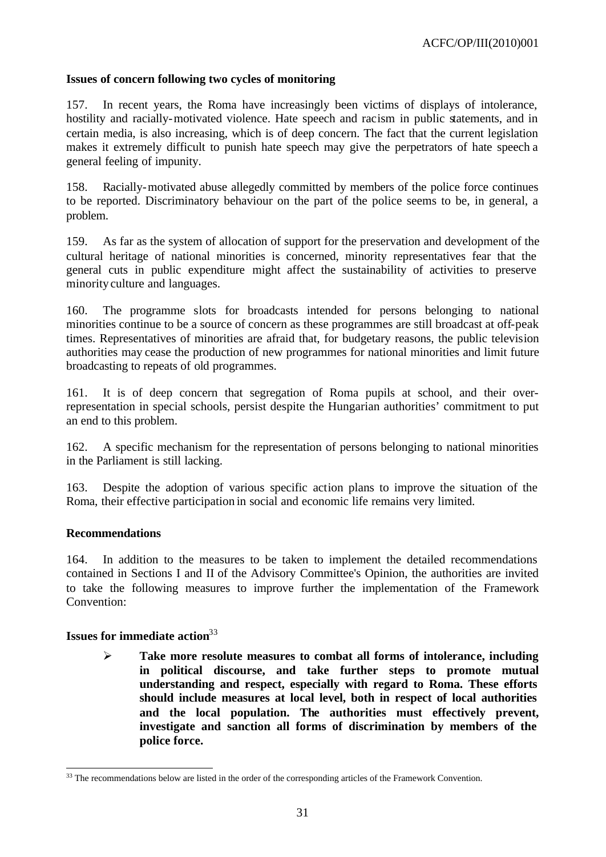## **Issues of concern following two cycles of monitoring**

157. In recent years, the Roma have increasingly been victims of displays of intolerance, hostility and racially-motivated violence. Hate speech and racism in public statements, and in certain media, is also increasing, which is of deep concern. The fact that the current legislation makes it extremely difficult to punish hate speech may give the perpetrators of hate speech a general feeling of impunity.

158. Racially-motivated abuse allegedly committed by members of the police force continues to be reported. Discriminatory behaviour on the part of the police seems to be, in general, a problem.

159. As far as the system of allocation of support for the preservation and development of the cultural heritage of national minorities is concerned, minority representatives fear that the general cuts in public expenditure might affect the sustainability of activities to preserve minority culture and languages.

160. The programme slots for broadcasts intended for persons belonging to national minorities continue to be a source of concern as these programmes are still broadcast at off-peak times. Representatives of minorities are afraid that, for budgetary reasons, the public television authorities may cease the production of new programmes for national minorities and limit future broadcasting to repeats of old programmes.

161. It is of deep concern that segregation of Roma pupils at school, and their overrepresentation in special schools, persist despite the Hungarian authorities' commitment to put an end to this problem.

162. A specific mechanism for the representation of persons belonging to national minorities in the Parliament is still lacking.

163. Despite the adoption of various specific action plans to improve the situation of the Roma, their effective participation in social and economic life remains very limited.

#### **Recommendations**

l

164. In addition to the measures to be taken to implement the detailed recommendations contained in Sections I and II of the Advisory Committee's Opinion, the authorities are invited to take the following measures to improve further the implementation of the Framework Convention:

#### **Issues for immediate action**<sup>33</sup>

ÿ **Take more resolute measures to combat all forms of intolerance, including in political discourse, and take further steps to promote mutual understanding and respect, especially with regard to Roma. These efforts should include measures at local level, both in respect of local authorities and the local population. The authorities must effectively prevent, investigate and sanction all forms of discrimination by members of the police force.**

 $33$  The recommendations below are listed in the order of the corresponding articles of the Framework Convention.